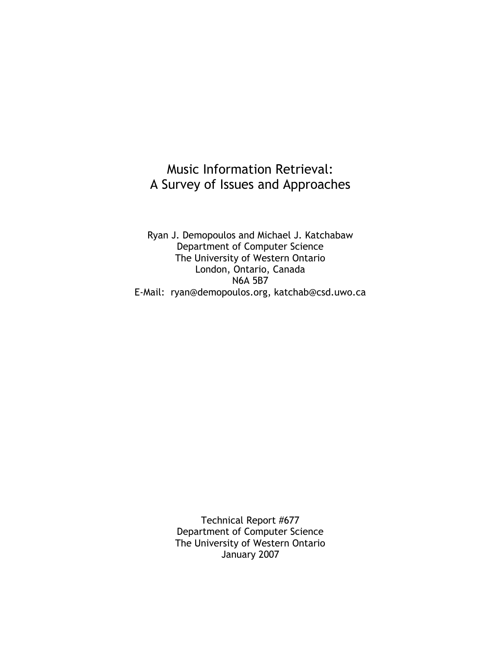## Music Information Retrieval: A Survey of Issues and Approaches

Ryan J. Demopoulos and Michael J. Katchabaw Department of Computer Science The University of Western Ontario London, Ontario, Canada N6A 5B7 E-Mail: ryan@demopoulos.org, katchab@csd.uwo.ca

> Technical Report #677 Department of Computer Science The University of Western Ontario January 2007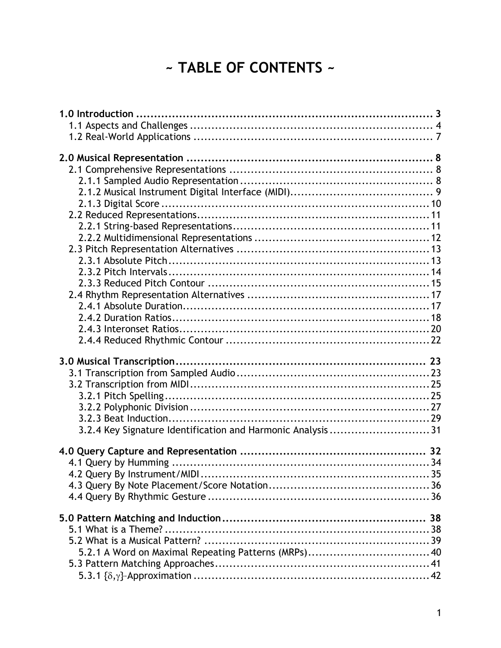# ~ TABLE OF CONTENTS ~

| 3.2.4 Key Signature Identification and Harmonic Analysis 31 |  |
|-------------------------------------------------------------|--|
|                                                             |  |
|                                                             |  |
|                                                             |  |
|                                                             |  |
|                                                             |  |
|                                                             |  |
|                                                             |  |
|                                                             |  |
|                                                             |  |
|                                                             |  |
|                                                             |  |
|                                                             |  |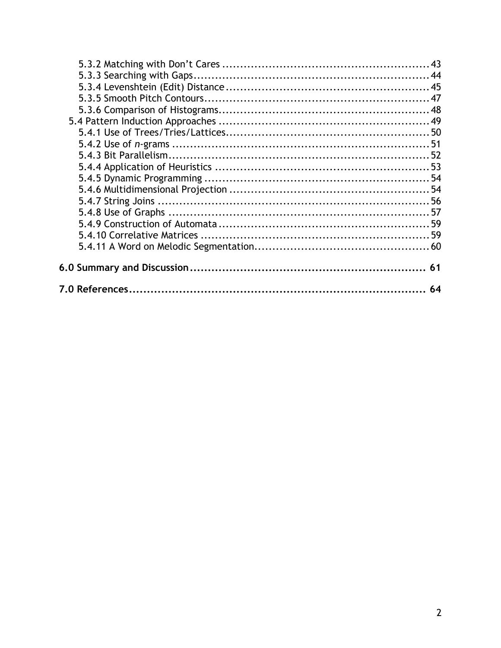| 64 |
|----|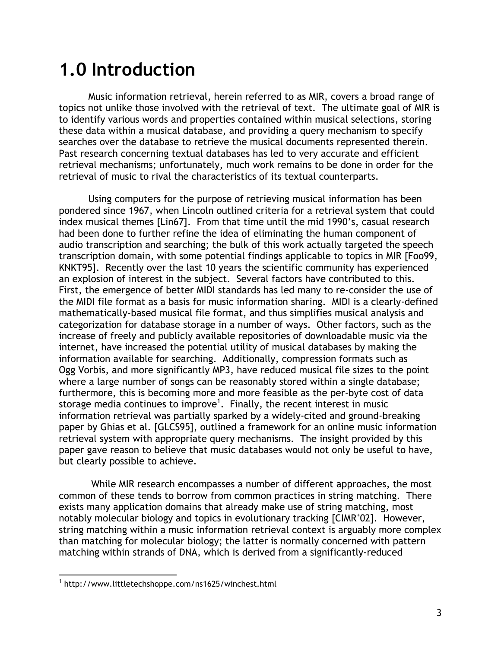# **1.0 Introduction**

Music information retrieval, herein referred to as MIR, covers a broad range of topics not unlike those involved with the retrieval of text. The ultimate goal of MIR is to identify various words and properties contained within musical selections, storing these data within a musical database, and providing a query mechanism to specify searches over the database to retrieve the musical documents represented therein. Past research concerning textual databases has led to very accurate and efficient retrieval mechanisms; unfortunately, much work remains to be done in order for the retrieval of music to rival the characteristics of its textual counterparts.

Using computers for the purpose of retrieving musical information has been pondered since 1967, when Lincoln outlined criteria for a retrieval system that could index musical themes [Lin67]. From that time until the mid 1990's, casual research had been done to further refine the idea of eliminating the human component of audio transcription and searching; the bulk of this work actually targeted the speech transcription domain, with some potential findings applicable to topics in MIR [Foo99, KNKT95]. Recently over the last 10 years the scientific community has experienced an explosion of interest in the subject. Several factors have contributed to this. First, the emergence of better MIDI standards has led many to re-consider the use of the MIDI file format as a basis for music information sharing. MIDI is a clearly-defined mathematically-based musical file format, and thus simplifies musical analysis and categorization for database storage in a number of ways. Other factors, such as the increase of freely and publicly available repositories of downloadable music via the internet, have increased the potential utility of musical databases by making the information available for searching. Additionally, compression formats such as Ogg Vorbis, and more significantly MP3, have reduced musical file sizes to the point where a large number of songs can be reasonably stored within a single database; furthermore, this is becoming more and more feasible as the per-byte cost of data storage media continues to improve<sup>1</sup>. Finally, the recent interest in music information retrieval was partially sparked by a widely-cited and ground-breaking paper by Ghias et al. [GLCS95], outlined a framework for an online music information retrieval system with appropriate query mechanisms. The insight provided by this paper gave reason to believe that music databases would not only be useful to have, but clearly possible to achieve.

 While MIR research encompasses a number of different approaches, the most common of these tends to borrow from common practices in string matching. There exists many application domains that already make use of string matching, most notably molecular biology and topics in evolutionary tracking [CIMR<sup>+</sup> 02]. However, string matching within a music information retrieval context is arguably more complex than matching for molecular biology; the latter is normally concerned with pattern matching within strands of DNA, which is derived from a significantly-reduced

 $\overline{a}$ <sup>1</sup> http://www.littletechshoppe.com/ns1625/winchest.html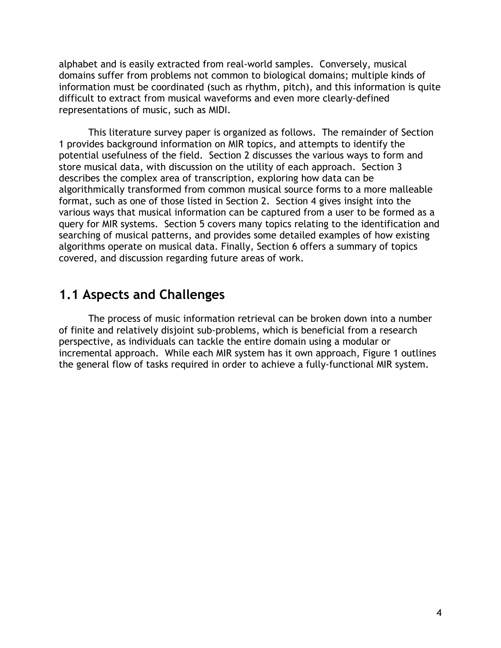alphabet and is easily extracted from real-world samples. Conversely, musical domains suffer from problems not common to biological domains; multiple kinds of information must be coordinated (such as rhythm, pitch), and this information is quite difficult to extract from musical waveforms and even more clearly-defined representations of music, such as MIDI.

 This literature survey paper is organized as follows. The remainder of Section 1 provides background information on MIR topics, and attempts to identify the potential usefulness of the field. Section 2 discusses the various ways to form and store musical data, with discussion on the utility of each approach. Section 3 describes the complex area of transcription, exploring how data can be algorithmically transformed from common musical source forms to a more malleable format, such as one of those listed in Section 2. Section 4 gives insight into the various ways that musical information can be captured from a user to be formed as a query for MIR systems. Section 5 covers many topics relating to the identification and searching of musical patterns, and provides some detailed examples of how existing algorithms operate on musical data. Finally, Section 6 offers a summary of topics covered, and discussion regarding future areas of work.

### **1.1 Aspects and Challenges**

The process of music information retrieval can be broken down into a number of finite and relatively disjoint sub-problems, which is beneficial from a research perspective, as individuals can tackle the entire domain using a modular or incremental approach. While each MIR system has it own approach, Figure 1 outlines the general flow of tasks required in order to achieve a fully-functional MIR system.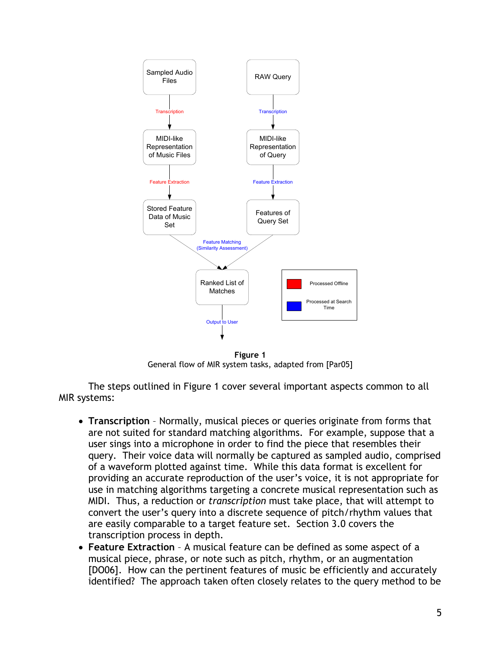

**Figure 1**  General flow of MIR system tasks, adapted from [Par05]

The steps outlined in Figure 1 cover several important aspects common to all MIR systems:

- **Transcription** Normally, musical pieces or queries originate from forms that are not suited for standard matching algorithms. For example, suppose that a user sings into a microphone in order to find the piece that resembles their query. Their voice data will normally be captured as sampled audio, comprised of a waveform plotted against time. While this data format is excellent for providing an accurate reproduction of the user's voice, it is not appropriate for use in matching algorithms targeting a concrete musical representation such as MIDI. Thus, a reduction or *transcription* must take place, that will attempt to convert the user's query into a discrete sequence of pitch/rhythm values that are easily comparable to a target feature set. Section 3.0 covers the transcription process in depth.
- **Feature Extraction** A musical feature can be defined as some aspect of a musical piece, phrase, or note such as pitch, rhythm, or an augmentation [DO06]. How can the pertinent features of music be efficiently and accurately identified? The approach taken often closely relates to the query method to be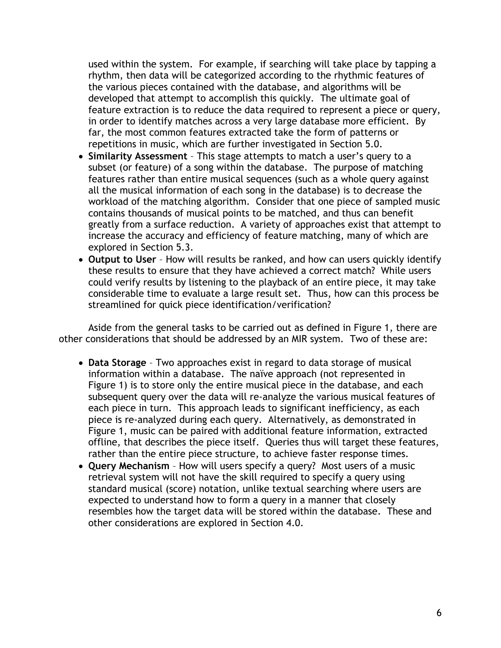used within the system. For example, if searching will take place by tapping a rhythm, then data will be categorized according to the rhythmic features of the various pieces contained with the database, and algorithms will be developed that attempt to accomplish this quickly. The ultimate goal of feature extraction is to reduce the data required to represent a piece or query, in order to identify matches across a very large database more efficient. By far, the most common features extracted take the form of patterns or repetitions in music, which are further investigated in Section 5.0.

- **Similarity Assessment**  This stage attempts to match a user's query to a subset (or feature) of a song within the database. The purpose of matching features rather than entire musical sequences (such as a whole query against all the musical information of each song in the database) is to decrease the workload of the matching algorithm. Consider that one piece of sampled music contains thousands of musical points to be matched, and thus can benefit greatly from a surface reduction. A variety of approaches exist that attempt to increase the accuracy and efficiency of feature matching, many of which are explored in Section 5.3.
- **Output to User**  How will results be ranked, and how can users quickly identify these results to ensure that they have achieved a correct match? While users could verify results by listening to the playback of an entire piece, it may take considerable time to evaluate a large result set. Thus, how can this process be streamlined for quick piece identification/verification?

Aside from the general tasks to be carried out as defined in Figure 1, there are other considerations that should be addressed by an MIR system. Two of these are:

- **Data Storage** Two approaches exist in regard to data storage of musical information within a database. The naïve approach (not represented in Figure 1) is to store only the entire musical piece in the database, and each subsequent query over the data will re-analyze the various musical features of each piece in turn. This approach leads to significant inefficiency, as each piece is re-analyzed during each query. Alternatively, as demonstrated in Figure 1, music can be paired with additional feature information, extracted offline, that describes the piece itself. Queries thus will target these features, rather than the entire piece structure, to achieve faster response times.
- **Query Mechanism**  How will users specify a query? Most users of a music retrieval system will not have the skill required to specify a query using standard musical (score) notation, unlike textual searching where users are expected to understand how to form a query in a manner that closely resembles how the target data will be stored within the database. These and other considerations are explored in Section 4.0.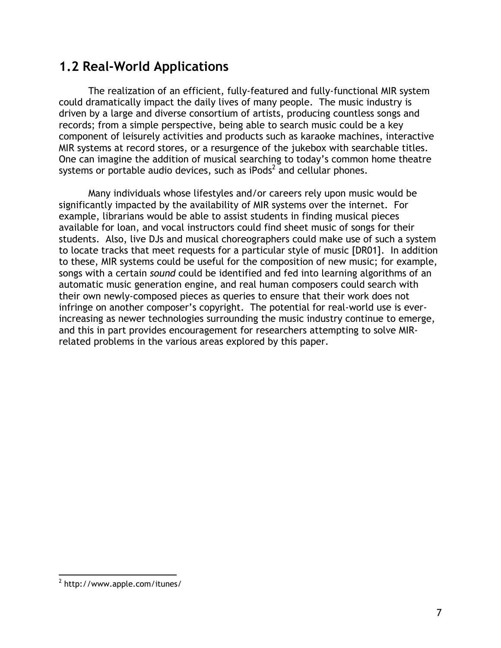# **1.2 Real-World Applications**

The realization of an efficient, fully-featured and fully-functional MIR system could dramatically impact the daily lives of many people. The music industry is driven by a large and diverse consortium of artists, producing countless songs and records; from a simple perspective, being able to search music could be a key component of leisurely activities and products such as karaoke machines, interactive MIR systems at record stores, or a resurgence of the jukebox with searchable titles. One can imagine the addition of musical searching to today's common home theatre systems or portable audio devices, such as iPods<sup>2</sup> and cellular phones.

Many individuals whose lifestyles and/or careers rely upon music would be significantly impacted by the availability of MIR systems over the internet. For example, librarians would be able to assist students in finding musical pieces available for loan, and vocal instructors could find sheet music of songs for their students. Also, live DJs and musical choreographers could make use of such a system to locate tracks that meet requests for a particular style of music [DR01]. In addition to these, MIR systems could be useful for the composition of new music; for example, songs with a certain *sound* could be identified and fed into learning algorithms of an automatic music generation engine, and real human composers could search with their own newly-composed pieces as queries to ensure that their work does not infringe on another composer's copyright. The potential for real-world use is everincreasing as newer technologies surrounding the music industry continue to emerge, and this in part provides encouragement for researchers attempting to solve MIRrelated problems in the various areas explored by this paper.

 $\overline{a}$ <sup>2</sup> http://www.apple.com/itunes/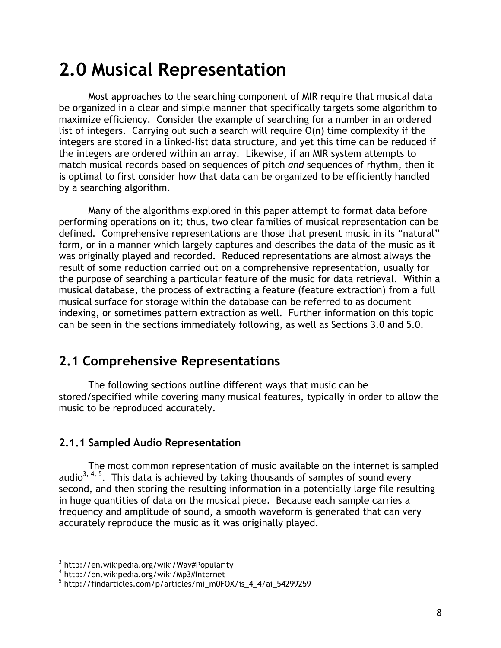# **2.0 Musical Representation**

Most approaches to the searching component of MIR require that musical data be organized in a clear and simple manner that specifically targets some algorithm to maximize efficiency. Consider the example of searching for a number in an ordered list of integers. Carrying out such a search will require O(n) time complexity if the integers are stored in a linked-list data structure, and yet this time can be reduced if the integers are ordered within an array. Likewise, if an MIR system attempts to match musical records based on sequences of pitch *and* sequences of rhythm, then it is optimal to first consider how that data can be organized to be efficiently handled by a searching algorithm.

Many of the algorithms explored in this paper attempt to format data before performing operations on it; thus, two clear families of musical representation can be defined. Comprehensive representations are those that present music in its "natural" form, or in a manner which largely captures and describes the data of the music as it was originally played and recorded. Reduced representations are almost always the result of some reduction carried out on a comprehensive representation, usually for the purpose of searching a particular feature of the music for data retrieval. Within a musical database, the process of extracting a feature (feature extraction) from a full musical surface for storage within the database can be referred to as document indexing, or sometimes pattern extraction as well. Further information on this topic can be seen in the sections immediately following, as well as Sections 3.0 and 5.0.

# **2.1 Comprehensive Representations**

The following sections outline different ways that music can be stored/specified while covering many musical features, typically in order to allow the music to be reproduced accurately.

### **2.1.1 Sampled Audio Representation**

The most common representation of music available on the internet is sampled audio<sup>3, 4, 5</sup>. This data is achieved by taking thousands of samples of sound every second, and then storing the resulting information in a potentially large file resulting in huge quantities of data on the musical piece. Because each sample carries a frequency and amplitude of sound, a smooth waveform is generated that can very accurately reproduce the music as it was originally played.

 3 http://en.wikipedia.org/wiki/Wav#Popularity

<sup>4</sup> http://en.wikipedia.org/wiki/Mp3#Internet

<sup>5</sup> http://findarticles.com/p/articles/mi\_m0FOX/is\_4\_4/ai\_54299259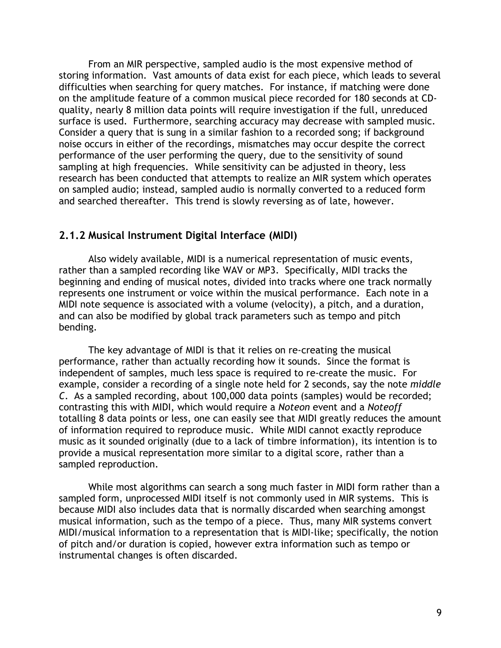From an MIR perspective, sampled audio is the most expensive method of storing information. Vast amounts of data exist for each piece, which leads to several difficulties when searching for query matches. For instance, if matching were done on the amplitude feature of a common musical piece recorded for 180 seconds at CDquality, nearly 8 million data points will require investigation if the full, unreduced surface is used. Furthermore, searching accuracy may decrease with sampled music. Consider a query that is sung in a similar fashion to a recorded song; if background noise occurs in either of the recordings, mismatches may occur despite the correct performance of the user performing the query, due to the sensitivity of sound sampling at high frequencies. While sensitivity can be adjusted in theory, less research has been conducted that attempts to realize an MIR system which operates on sampled audio; instead, sampled audio is normally converted to a reduced form and searched thereafter. This trend is slowly reversing as of late, however.

#### **2.1.2 Musical Instrument Digital Interface (MIDI)**

Also widely available, MIDI is a numerical representation of music events, rather than a sampled recording like WAV or MP3. Specifically, MIDI tracks the beginning and ending of musical notes, divided into tracks where one track normally represents one instrument or voice within the musical performance. Each note in a MIDI note sequence is associated with a volume (velocity), a pitch, and a duration, and can also be modified by global track parameters such as tempo and pitch bending.

The key advantage of MIDI is that it relies on re-creating the musical performance, rather than actually recording how it sounds. Since the format is independent of samples, much less space is required to re-create the music. For example, consider a recording of a single note held for 2 seconds, say the note *middle C*. As a sampled recording, about 100,000 data points (samples) would be recorded; contrasting this with MIDI, which would require a *Noteon* event and a *Noteoff* totalling 8 data points or less, one can easily see that MIDI greatly reduces the amount of information required to reproduce music. While MIDI cannot exactly reproduce music as it sounded originally (due to a lack of timbre information), its intention is to provide a musical representation more similar to a digital score, rather than a sampled reproduction.

While most algorithms can search a song much faster in MIDI form rather than a sampled form, unprocessed MIDI itself is not commonly used in MIR systems. This is because MIDI also includes data that is normally discarded when searching amongst musical information, such as the tempo of a piece. Thus, many MIR systems convert MIDI/musical information to a representation that is MIDI-like; specifically, the notion of pitch and/or duration is copied, however extra information such as tempo or instrumental changes is often discarded.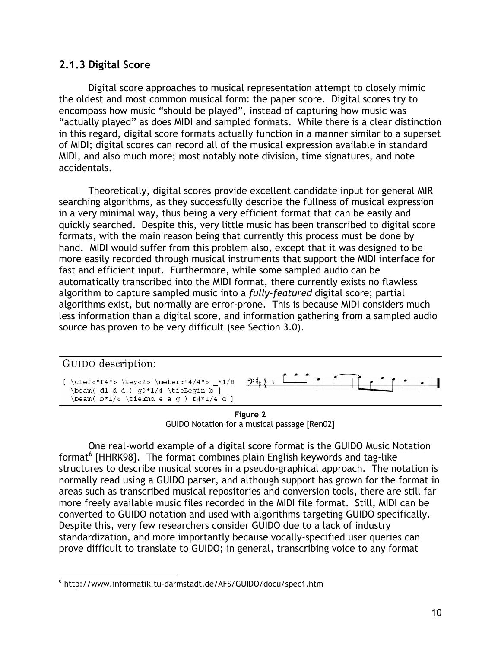### **2.1.3 Digital Score**

Digital score approaches to musical representation attempt to closely mimic the oldest and most common musical form: the paper score. Digital scores try to encompass how music "should be played", instead of capturing how music was "actually played" as does MIDI and sampled formats. While there is a clear distinction in this regard, digital score formats actually function in a manner similar to a superset of MIDI; digital scores can record all of the musical expression available in standard MIDI, and also much more; most notably note division, time signatures, and note accidentals.

Theoretically, digital scores provide excellent candidate input for general MIR searching algorithms, as they successfully describe the fullness of musical expression in a very minimal way, thus being a very efficient format that can be easily and quickly searched. Despite this, very little music has been transcribed to digital score formats, with the main reason being that currently this process must be done by hand. MIDI would suffer from this problem also, except that it was designed to be more easily recorded through musical instruments that support the MIDI interface for fast and efficient input. Furthermore, while some sampled audio can be automatically transcribed into the MIDI format, there currently exists no flawless algorithm to capture sampled music into a *fully-featured* digital score; partial algorithms exist, but normally are error-prone. This is because MIDI considers much less information than a digital score, and information gathering from a sampled audio source has proven to be very difficult (see Section 3.0).



**Figure 2**  GUIDO Notation for a musical passage [Ren02]

One real-world example of a digital score format is the GUIDO Music Notation format<sup>6</sup> [HHRK98]. The format combines plain English keywords and tag-like structures to describe musical scores in a pseudo-graphical approach. The notation is normally read using a GUIDO parser, and although support has grown for the format in areas such as transcribed musical repositories and conversion tools, there are still far more freely available music files recorded in the MIDI file format. Still, MIDI can be converted to GUIDO notation and used with algorithms targeting GUIDO specifically. Despite this, very few researchers consider GUIDO due to a lack of industry standardization, and more importantly because vocally-specified user queries can prove difficult to translate to GUIDO; in general, transcribing voice to any format

 $\overline{a}$ 6 http://www.informatik.tu-darmstadt.de/AFS/GUIDO/docu/spec1.htm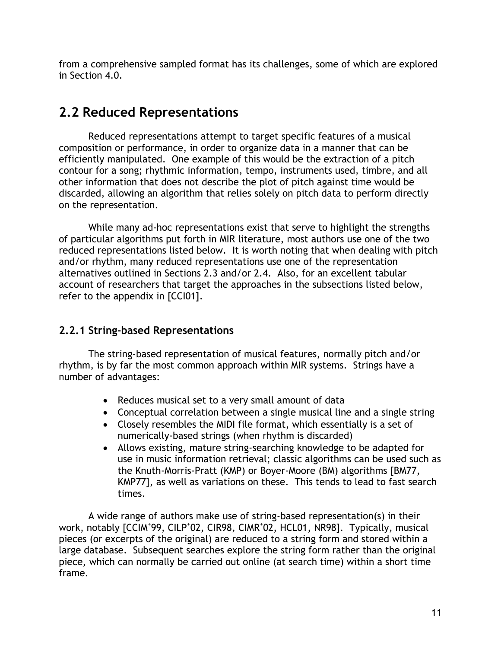from a comprehensive sampled format has its challenges, some of which are explored in Section 4.0.

# **2.2 Reduced Representations**

Reduced representations attempt to target specific features of a musical composition or performance, in order to organize data in a manner that can be efficiently manipulated. One example of this would be the extraction of a pitch contour for a song; rhythmic information, tempo, instruments used, timbre, and all other information that does not describe the plot of pitch against time would be discarded, allowing an algorithm that relies solely on pitch data to perform directly on the representation.

While many ad-hoc representations exist that serve to highlight the strengths of particular algorithms put forth in MIR literature, most authors use one of the two reduced representations listed below. It is worth noting that when dealing with pitch and/or rhythm, many reduced representations use one of the representation alternatives outlined in Sections 2.3 and/or 2.4. Also, for an excellent tabular account of researchers that target the approaches in the subsections listed below, refer to the appendix in [CCI01].

### **2.2.1 String-based Representations**

The string-based representation of musical features, normally pitch and/or rhythm, is by far the most common approach within MIR systems. Strings have a number of advantages:

- Reduces musical set to a very small amount of data
- Conceptual correlation between a single musical line and a single string
- Closely resembles the MIDI file format, which essentially is a set of numerically-based strings (when rhythm is discarded)
- Allows existing, mature string-searching knowledge to be adapted for use in music information retrieval; classic algorithms can be used such as the Knuth-Morris-Pratt (KMP) or Boyer-Moore (BM) algorithms [BM77, KMP77], as well as variations on these. This tends to lead to fast search times.

A wide range of authors make use of string-based representation(s) in their work, notably [CCIM<sup>+</sup>99, CILP<sup>+</sup>02, CIR98, CIMR<sup>+</sup>02, HCL01, NR98]. Typically, musical pieces (or excerpts of the original) are reduced to a string form and stored within a large database. Subsequent searches explore the string form rather than the original piece, which can normally be carried out online (at search time) within a short time frame.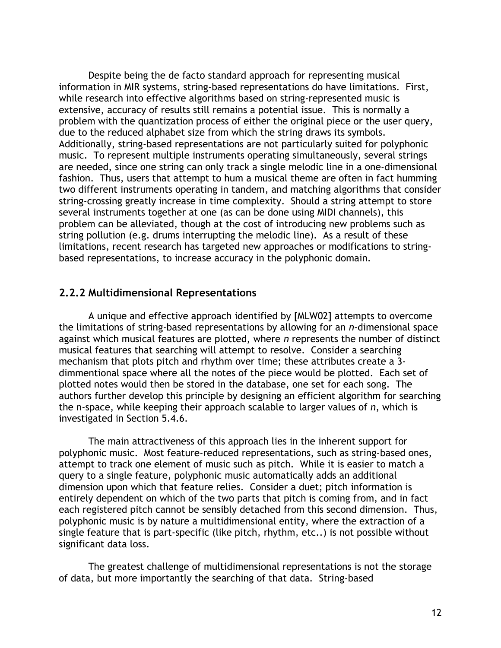Despite being the de facto standard approach for representing musical information in MIR systems, string-based representations do have limitations. First, while research into effective algorithms based on string-represented music is extensive, accuracy of results still remains a potential issue. This is normally a problem with the quantization process of either the original piece or the user query, due to the reduced alphabet size from which the string draws its symbols. Additionally, string-based representations are not particularly suited for polyphonic music. To represent multiple instruments operating simultaneously, several strings are needed, since one string can only track a single melodic line in a one-dimensional fashion. Thus, users that attempt to hum a musical theme are often in fact humming two different instruments operating in tandem, and matching algorithms that consider string-crossing greatly increase in time complexity. Should a string attempt to store several instruments together at one (as can be done using MIDI channels), this problem can be alleviated, though at the cost of introducing new problems such as string pollution (e.g. drums interrupting the melodic line). As a result of these limitations, recent research has targeted new approaches or modifications to stringbased representations, to increase accuracy in the polyphonic domain.

#### **2.2.2 Multidimensional Representations**

A unique and effective approach identified by [MLW02] attempts to overcome the limitations of string-based representations by allowing for an *n*-dimensional space against which musical features are plotted, where *n* represents the number of distinct musical features that searching will attempt to resolve. Consider a searching mechanism that plots pitch and rhythm over time; these attributes create a 3 dimmentional space where all the notes of the piece would be plotted. Each set of plotted notes would then be stored in the database, one set for each song. The authors further develop this principle by designing an efficient algorithm for searching the n-space, while keeping their approach scalable to larger values of *n*, which is investigated in Section 5.4.6.

The main attractiveness of this approach lies in the inherent support for polyphonic music. Most feature-reduced representations, such as string-based ones, attempt to track one element of music such as pitch. While it is easier to match a query to a single feature, polyphonic music automatically adds an additional dimension upon which that feature relies. Consider a duet; pitch information is entirely dependent on which of the two parts that pitch is coming from, and in fact each registered pitch cannot be sensibly detached from this second dimension. Thus, polyphonic music is by nature a multidimensional entity, where the extraction of a single feature that is part-specific (like pitch, rhythm, etc..) is not possible without significant data loss.

The greatest challenge of multidimensional representations is not the storage of data, but more importantly the searching of that data. String-based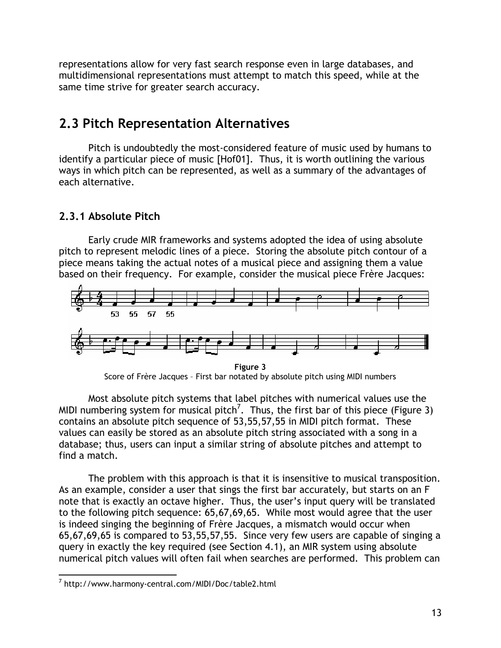representations allow for very fast search response even in large databases, and multidimensional representations must attempt to match this speed, while at the same time strive for greater search accuracy.

# **2.3 Pitch Representation Alternatives**

Pitch is undoubtedly the most-considered feature of music used by humans to identify a particular piece of music [Hof01]. Thus, it is worth outlining the various ways in which pitch can be represented, as well as a summary of the advantages of each alternative.

### **2.3.1 Absolute Pitch**

Early crude MIR frameworks and systems adopted the idea of using absolute pitch to represent melodic lines of a piece. Storing the absolute pitch contour of a piece means taking the actual notes of a musical piece and assigning them a value based on their frequency. For example, consider the musical piece Frère Jacques:



Score of Frère Jacques – First bar notated by absolute pitch using MIDI numbers

Most absolute pitch systems that label pitches with numerical values use the MIDI numbering system for musical pitch<sup>7</sup>. Thus, the first bar of this piece (Figure 3) contains an absolute pitch sequence of 53,55,57,55 in MIDI pitch format. These values can easily be stored as an absolute pitch string associated with a song in a database; thus, users can input a similar string of absolute pitches and attempt to find a match.

The problem with this approach is that it is insensitive to musical transposition. As an example, consider a user that sings the first bar accurately, but starts on an F note that is exactly an octave higher. Thus, the user's input query will be translated to the following pitch sequence: 65,67,69,65. While most would agree that the user is indeed singing the beginning of Frère Jacques, a mismatch would occur when 65,67,69,65 is compared to 53,55,57,55. Since very few users are capable of singing a query in exactly the key required (see Section 4.1), an MIR system using absolute numerical pitch values will often fail when searches are performed. This problem can

 $\overline{a}$ 7 http://www.harmony-central.com/MIDI/Doc/table2.html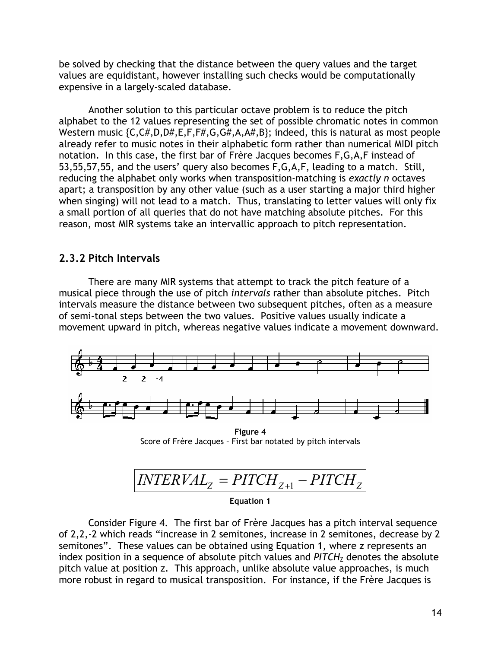be solved by checking that the distance between the query values and the target values are equidistant, however installing such checks would be computationally expensive in a largely-scaled database.

Another solution to this particular octave problem is to reduce the pitch alphabet to the 12 values representing the set of possible chromatic notes in common Western music {C,C#,D,D#,E,F,F#,G,G#,A,A#,B}; indeed, this is natural as most people already refer to music notes in their alphabetic form rather than numerical MIDI pitch notation. In this case, the first bar of Frère Jacques becomes F,G,A,F instead of 53,55,57,55, and the users' query also becomes F,G,A,F, leading to a match. Still, reducing the alphabet only works when transposition-matching is *exactly n* octaves apart; a transposition by any other value (such as a user starting a major third higher when singing) will not lead to a match. Thus, translating to letter values will only fix a small portion of all queries that do not have matching absolute pitches. For this reason, most MIR systems take an intervallic approach to pitch representation.

### **2.3.2 Pitch Intervals**

There are many MIR systems that attempt to track the pitch feature of a musical piece through the use of pitch *intervals* rather than absolute pitches. Pitch intervals measure the distance between two subsequent pitches, often as a measure of semi-tonal steps between the two values. Positive values usually indicate a movement upward in pitch, whereas negative values indicate a movement downward.



**Figure 4**  Score of Frère Jacques – First bar notated by pitch intervals

$$
|\text{INTERVAL}_{Z} = \text{PITCH}_{Z+1} - \text{PITCH}_{Z}|
$$

**Equation 1** 

Consider Figure 4. The first bar of Frère Jacques has a pitch interval sequence of 2,2,-2 which reads "increase in 2 semitones, increase in 2 semitones, decrease by 2 semitones". These values can be obtained using Equation 1, where *z* represents an index position in a sequence of absolute pitch values and PITCH<sub>Z</sub> denotes the absolute pitch value at position z. This approach, unlike absolute value approaches, is much more robust in regard to musical transposition. For instance, if the Frère Jacques is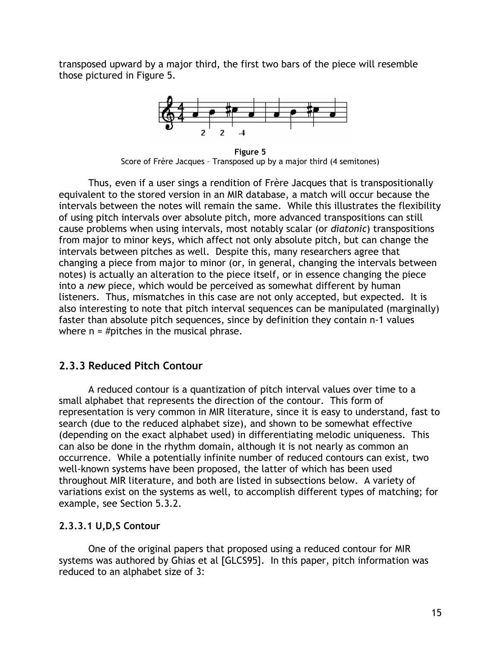transposed upward by a major third, the first two bars of the piece will resemble those pictured in Figure 5.



**Figure 5**  Score of Frère Jacques – Transposed up by a major third (4 semitones)

Thus, even if a user sings a rendition of Frère Jacques that is transpositionally equivalent to the stored version in an MIR database, a match will occur because the intervals between the notes will remain the same. While this illustrates the flexibility of using pitch intervals over absolute pitch, more advanced transpositions can still cause problems when using intervals, most notably scalar (or *diatonic*) transpositions from major to minor keys, which affect not only absolute pitch, but can change the intervals between pitches as well. Despite this, many researchers agree that changing a piece from major to minor (or, in general, changing the intervals between notes) is actually an alteration to the piece itself, or in essence changing the piece into a *new* piece, which would be perceived as somewhat different by human listeners. Thus, mismatches in this case are not only accepted, but expected. It is also interesting to note that pitch interval sequences can be manipulated (marginally) faster than absolute pitch sequences, since by definition they contain n-1 values where  $n = #$ pitches in the musical phrase.

### **2.3.3 Reduced Pitch Contour**

A reduced contour is a quantization of pitch interval values over time to a small alphabet that represents the direction of the contour. This form of representation is very common in MIR literature, since it is easy to understand, fast to search (due to the reduced alphabet size), and shown to be somewhat effective (depending on the exact alphabet used) in differentiating melodic uniqueness. This can also be done in the rhythm domain, although it is not nearly as common an occurrence. While a potentially infinite number of reduced contours can exist, two well-known systems have been proposed, the latter of which has been used throughout MIR literature, and both are listed in subsections below. A variety of variations exist on the systems as well, to accomplish different types of matching; for example, see Section 5.3.2.

#### **2.3.3.1 U,D,S Contour**

One of the original papers that proposed using a reduced contour for MIR systems was authored by Ghias et al [GLCS95]. In this paper, pitch information was reduced to an alphabet size of 3: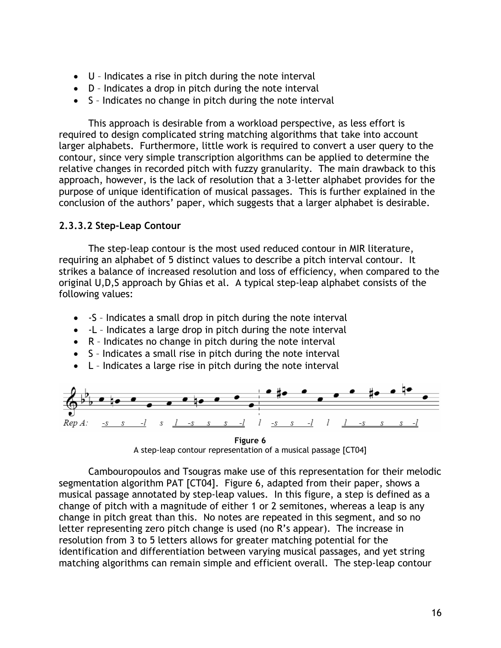- U Indicates a rise in pitch during the note interval
- D Indicates a drop in pitch during the note interval
- S Indicates no change in pitch during the note interval

This approach is desirable from a workload perspective, as less effort is required to design complicated string matching algorithms that take into account larger alphabets. Furthermore, little work is required to convert a user query to the contour, since very simple transcription algorithms can be applied to determine the relative changes in recorded pitch with fuzzy granularity. The main drawback to this approach, however, is the lack of resolution that a 3-letter alphabet provides for the purpose of unique identification of musical passages. This is further explained in the conclusion of the authors' paper, which suggests that a larger alphabet is desirable.

#### **2.3.3.2 Step-Leap Contour**

The step-leap contour is the most used reduced contour in MIR literature, requiring an alphabet of 5 distinct values to describe a pitch interval contour. It strikes a balance of increased resolution and loss of efficiency, when compared to the original U,D,S approach by Ghias et al. A typical step-leap alphabet consists of the following values:

- -S Indicates a small drop in pitch during the note interval
- -L Indicates a large drop in pitch during the note interval
- R Indicates no change in pitch during the note interval
- S Indicates a small rise in pitch during the note interval
- L Indicates a large rise in pitch during the note interval



A step-leap contour representation of a musical passage [CT04]

Cambouropoulos and Tsougras make use of this representation for their melodic segmentation algorithm PAT [CT04]. Figure 6, adapted from their paper, shows a musical passage annotated by step-leap values. In this figure, a step is defined as a change of pitch with a magnitude of either 1 or 2 semitones, whereas a leap is any change in pitch great than this. No notes are repeated in this segment, and so no letter representing zero pitch change is used (no R's appear). The increase in resolution from 3 to 5 letters allows for greater matching potential for the identification and differentiation between varying musical passages, and yet string matching algorithms can remain simple and efficient overall. The step-leap contour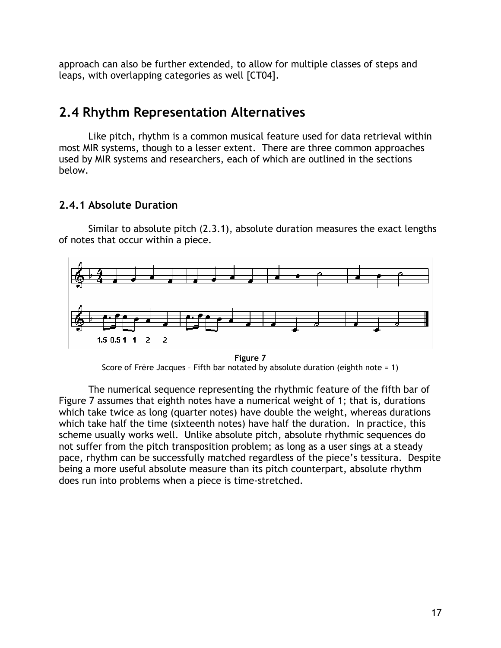approach can also be further extended, to allow for multiple classes of steps and leaps, with overlapping categories as well [CT04].

## **2.4 Rhythm Representation Alternatives**

Like pitch, rhythm is a common musical feature used for data retrieval within most MIR systems, though to a lesser extent. There are three common approaches used by MIR systems and researchers, each of which are outlined in the sections below.

#### **2.4.1 Absolute Duration**

Similar to absolute pitch (2.3.1), absolute duration measures the exact lengths of notes that occur within a piece.



**Figure 7**  Score of Frère Jacques – Fifth bar notated by absolute duration (eighth note = 1)

The numerical sequence representing the rhythmic feature of the fifth bar of Figure 7 assumes that eighth notes have a numerical weight of 1; that is, durations which take twice as long (quarter notes) have double the weight, whereas durations which take half the time (sixteenth notes) have half the duration. In practice, this scheme usually works well. Unlike absolute pitch, absolute rhythmic sequences do not suffer from the pitch transposition problem; as long as a user sings at a steady pace, rhythm can be successfully matched regardless of the piece's tessitura. Despite being a more useful absolute measure than its pitch counterpart, absolute rhythm does run into problems when a piece is time-stretched.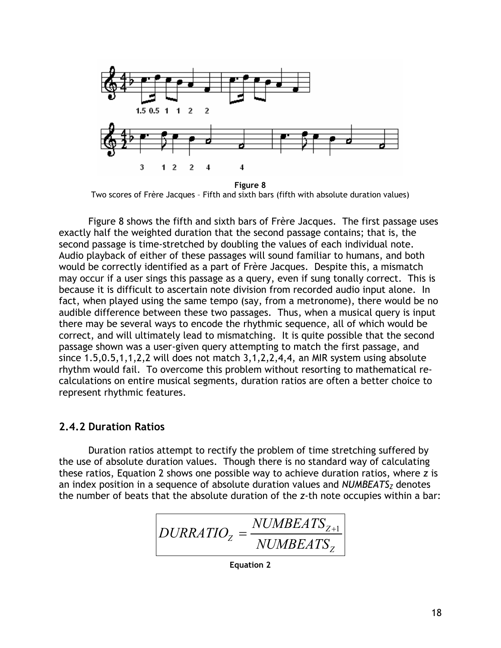

Two scores of Frère Jacques – Fifth and sixth bars (fifth with absolute duration values)

Figure 8 shows the fifth and sixth bars of Frère Jacques. The first passage uses exactly half the weighted duration that the second passage contains; that is, the second passage is time-stretched by doubling the values of each individual note. Audio playback of either of these passages will sound familiar to humans, and both would be correctly identified as a part of Frère Jacques. Despite this, a mismatch may occur if a user sings this passage as a query, even if sung tonally correct. This is because it is difficult to ascertain note division from recorded audio input alone. In fact, when played using the same tempo (say, from a metronome), there would be no audible difference between these two passages. Thus, when a musical query is input there may be several ways to encode the rhythmic sequence, all of which would be correct, and will ultimately lead to mismatching. It is quite possible that the second passage shown was a user-given query attempting to match the first passage, and since 1.5,0.5,1,1,2,2 will does not match 3,1,2,2,4,4, an MIR system using absolute rhythm would fail. To overcome this problem without resorting to mathematical recalculations on entire musical segments, duration ratios are often a better choice to represent rhythmic features.

#### **2.4.2 Duration Ratios**

Duration ratios attempt to rectify the problem of time stretching suffered by the use of absolute duration values. Though there is no standard way of calculating these ratios, Equation 2 shows one possible way to achieve duration ratios, where *z* is an index position in a sequence of absolute duration values and *NUMBEATS<sub>Z</sub>* denotes the number of beats that the absolute duration of the *z*-th note occupies within a bar:

$$
DURRATIO_{Z} = \frac{NUMBEATS_{Z+1}}{NUMBEATS_{Z}}
$$

**Equation 2**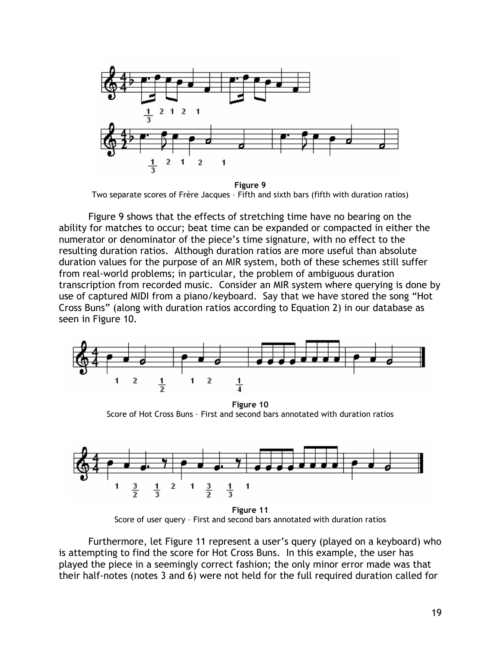

**Figure 9**  Two separate scores of Frère Jacques – Fifth and sixth bars (fifth with duration ratios)

Figure 9 shows that the effects of stretching time have no bearing on the ability for matches to occur; beat time can be expanded or compacted in either the numerator or denominator of the piece's time signature, with no effect to the resulting duration ratios. Although duration ratios are more useful than absolute duration values for the purpose of an MIR system, both of these schemes still suffer from real-world problems; in particular, the problem of ambiguous duration transcription from recorded music. Consider an MIR system where querying is done by use of captured MIDI from a piano/keyboard. Say that we have stored the song "Hot Cross Buns" (along with duration ratios according to Equation 2) in our database as seen in Figure 10.



**Figure 10**  Score of Hot Cross Buns – First and second bars annotated with duration ratios



**Figure 11**  Score of user query – First and second bars annotated with duration ratios

Furthermore, let Figure 11 represent a user's query (played on a keyboard) who is attempting to find the score for Hot Cross Buns. In this example, the user has played the piece in a seemingly correct fashion; the only minor error made was that their half-notes (notes 3 and 6) were not held for the full required duration called for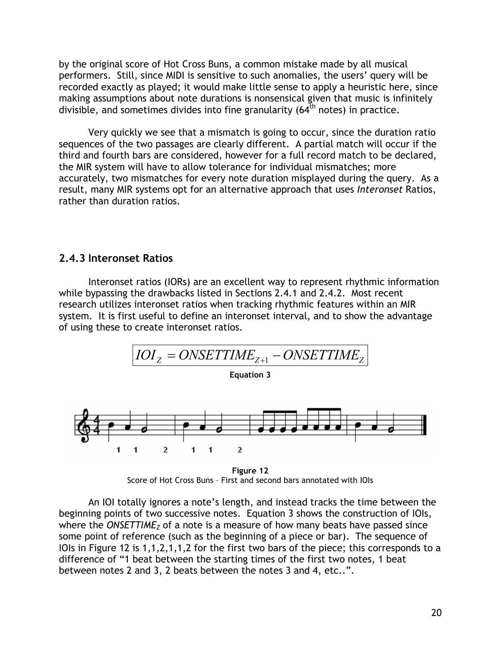by the original score of Hot Cross Buns, a common mistake made by all musical performers. Still, since MIDI is sensitive to such anomalies, the users' query will be recorded exactly as played; it would make little sense to apply a heuristic here, since making assumptions about note durations is nonsensical given that music is infinitely divisible, and sometimes divides into fine granularity  $(64<sup>th</sup>$  notes) in practice.

Very quickly we see that a mismatch is going to occur, since the duration ratio sequences of the two passages are clearly different. A partial match will occur if the third and fourth bars are considered, however for a full record match to be declared, the MIR system will have to allow tolerance for individual mismatches; more accurately, two mismatches for every note duration misplayed during the query. As a result, many MIR systems opt for an alternative approach that uses *Interonset* Ratios, rather than duration ratios.

#### **2.4.3 Interonset Ratios**

Interonset ratios (IORs) are an excellent way to represent rhythmic information while bypassing the drawbacks listed in Sections 2.4.1 and 2.4.2. Most recent research utilizes interonset ratios when tracking rhythmic features within an MIR system. It is first useful to define an interonset interval, and to show the advantage of using these to create interonset ratios.



**Figure 12**  Score of Hot Cross Buns – First and second bars annotated with IOIs

An IOI totally ignores a note's length, and instead tracks the time between the beginning points of two successive notes. Equation 3 shows the construction of IOIs, where the *ONSETTIME<sub>Z</sub>* of a note is a measure of how many beats have passed since some point of reference (such as the beginning of a piece or bar). The sequence of IOIs in Figure 12 is 1,1,2,1,1,2 for the first two bars of the piece; this corresponds to a difference of "1 beat between the starting times of the first two notes, 1 beat between notes 2 and 3, 2 beats between the notes 3 and 4, etc..".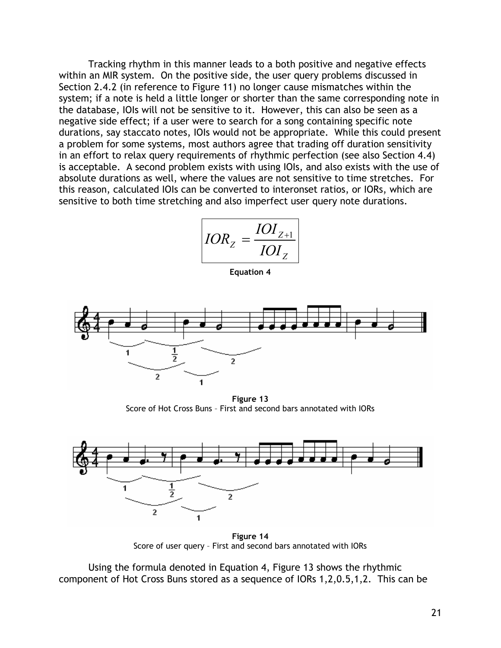Tracking rhythm in this manner leads to a both positive and negative effects within an MIR system. On the positive side, the user query problems discussed in Section 2.4.2 (in reference to Figure 11) no longer cause mismatches within the system; if a note is held a little longer or shorter than the same corresponding note in the database, IOIs will not be sensitive to it. However, this can also be seen as a negative side effect; if a user were to search for a song containing specific note durations, say staccato notes, IOIs would not be appropriate. While this could present a problem for some systems, most authors agree that trading off duration sensitivity in an effort to relax query requirements of rhythmic perfection (see also Section 4.4) is acceptable. A second problem exists with using IOIs, and also exists with the use of absolute durations as well, where the values are not sensitive to time stretches. For this reason, calculated IOIs can be converted to interonset ratios, or IORs, which are sensitive to both time stretching and also imperfect user query note durations.

$$
IOR_z = \frac{IOI_{z+1}}{IOI_z}
$$

**Equation 4** 



**Figure 13**  Score of Hot Cross Buns – First and second bars annotated with IORs



**Figure 14**  Score of user query – First and second bars annotated with IORs

Using the formula denoted in Equation 4, Figure 13 shows the rhythmic component of Hot Cross Buns stored as a sequence of IORs 1,2,0.5,1,2. This can be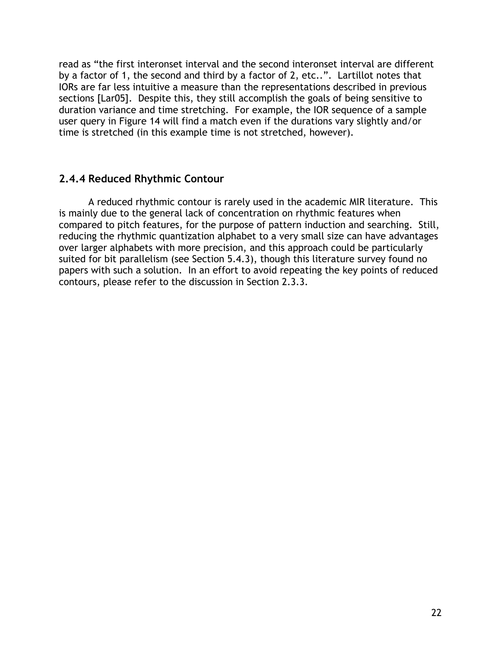read as "the first interonset interval and the second interonset interval are different by a factor of 1, the second and third by a factor of 2, etc..". Lartillot notes that IORs are far less intuitive a measure than the representations described in previous sections [Lar05]. Despite this, they still accomplish the goals of being sensitive to duration variance and time stretching. For example, the IOR sequence of a sample user query in Figure 14 will find a match even if the durations vary slightly and/or time is stretched (in this example time is not stretched, however).

#### **2.4.4 Reduced Rhythmic Contour**

A reduced rhythmic contour is rarely used in the academic MIR literature. This is mainly due to the general lack of concentration on rhythmic features when compared to pitch features, for the purpose of pattern induction and searching. Still, reducing the rhythmic quantization alphabet to a very small size can have advantages over larger alphabets with more precision, and this approach could be particularly suited for bit parallelism (see Section 5.4.3), though this literature survey found no papers with such a solution. In an effort to avoid repeating the key points of reduced contours, please refer to the discussion in Section 2.3.3.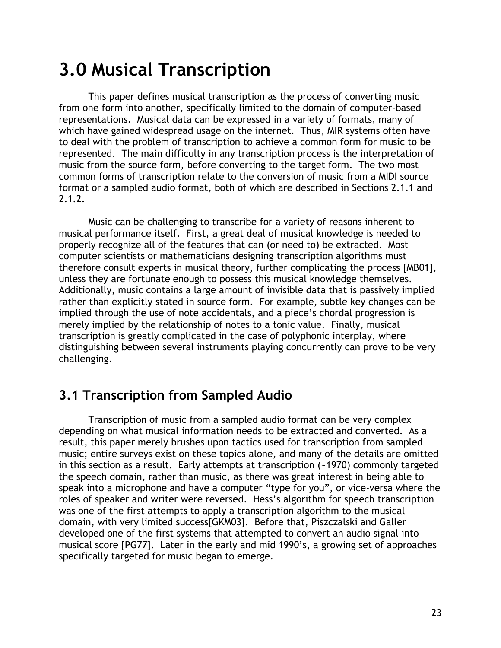# **3.0 Musical Transcription**

This paper defines musical transcription as the process of converting music from one form into another, specifically limited to the domain of computer-based representations. Musical data can be expressed in a variety of formats, many of which have gained widespread usage on the internet. Thus, MIR systems often have to deal with the problem of transcription to achieve a common form for music to be represented. The main difficulty in any transcription process is the interpretation of music from the source form, before converting to the target form. The two most common forms of transcription relate to the conversion of music from a MIDI source format or a sampled audio format, both of which are described in Sections 2.1.1 and 2.1.2.

Music can be challenging to transcribe for a variety of reasons inherent to musical performance itself. First, a great deal of musical knowledge is needed to properly recognize all of the features that can (or need to) be extracted. Most computer scientists or mathematicians designing transcription algorithms must therefore consult experts in musical theory, further complicating the process [MB01], unless they are fortunate enough to possess this musical knowledge themselves. Additionally, music contains a large amount of invisible data that is passively implied rather than explicitly stated in source form. For example, subtle key changes can be implied through the use of note accidentals, and a piece's chordal progression is merely implied by the relationship of notes to a tonic value. Finally, musical transcription is greatly complicated in the case of polyphonic interplay, where distinguishing between several instruments playing concurrently can prove to be very challenging.

# **3.1 Transcription from Sampled Audio**

Transcription of music from a sampled audio format can be very complex depending on what musical information needs to be extracted and converted. As a result, this paper merely brushes upon tactics used for transcription from sampled music; entire surveys exist on these topics alone, and many of the details are omitted in this section as a result. Early attempts at transcription (~1970) commonly targeted the speech domain, rather than music, as there was great interest in being able to speak into a microphone and have a computer "type for you", or vice-versa where the roles of speaker and writer were reversed. Hess's algorithm for speech transcription was one of the first attempts to apply a transcription algorithm to the musical domain, with very limited success[GKM03]. Before that, Piszczalski and Galler developed one of the first systems that attempted to convert an audio signal into musical score [PG77]. Later in the early and mid 1990's, a growing set of approaches specifically targeted for music began to emerge.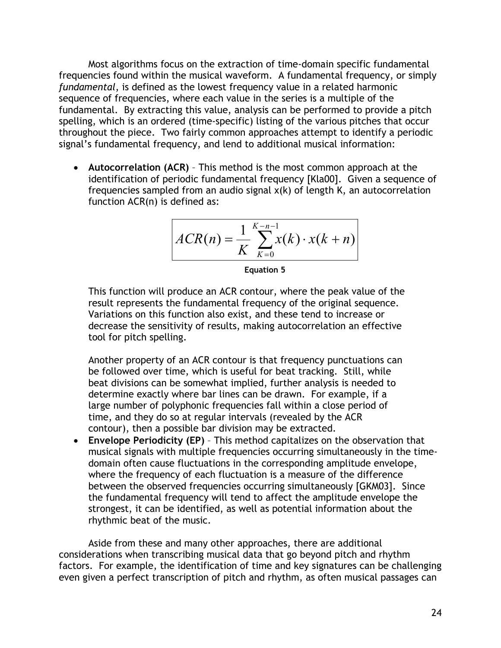Most algorithms focus on the extraction of time-domain specific fundamental frequencies found within the musical waveform. A fundamental frequency, or simply *fundamental*, is defined as the lowest frequency value in a related harmonic sequence of frequencies, where each value in the series is a multiple of the fundamental. By extracting this value, analysis can be performed to provide a pitch spelling, which is an ordered (time-specific) listing of the various pitches that occur throughout the piece. Two fairly common approaches attempt to identify a periodic signal's fundamental frequency, and lend to additional musical information:

• **Autocorrelation (ACR)** – This method is the most common approach at the identification of periodic fundamental frequency [Kla00]. Given a sequence of frequencies sampled from an audio signal x(k) of length K, an autocorrelation function ACR(n) is defined as:

$$
ACR(n) = \frac{1}{K} \sum_{k=0}^{K-n-1} x(k) \cdot x(k+n)
$$

**Equation 5** 

This function will produce an ACR contour, where the peak value of the result represents the fundamental frequency of the original sequence. Variations on this function also exist, and these tend to increase or decrease the sensitivity of results, making autocorrelation an effective tool for pitch spelling.

 Another property of an ACR contour is that frequency punctuations can be followed over time, which is useful for beat tracking. Still, while beat divisions can be somewhat implied, further analysis is needed to determine exactly where bar lines can be drawn. For example, if a large number of polyphonic frequencies fall within a close period of time, and they do so at regular intervals (revealed by the ACR contour), then a possible bar division may be extracted.

• **Envelope Periodicity (EP)** – This method capitalizes on the observation that musical signals with multiple frequencies occurring simultaneously in the timedomain often cause fluctuations in the corresponding amplitude envelope, where the frequency of each fluctuation is a measure of the difference between the observed frequencies occurring simultaneously [GKM03]. Since the fundamental frequency will tend to affect the amplitude envelope the strongest, it can be identified, as well as potential information about the rhythmic beat of the music.

Aside from these and many other approaches, there are additional considerations when transcribing musical data that go beyond pitch and rhythm factors. For example, the identification of time and key signatures can be challenging even given a perfect transcription of pitch and rhythm, as often musical passages can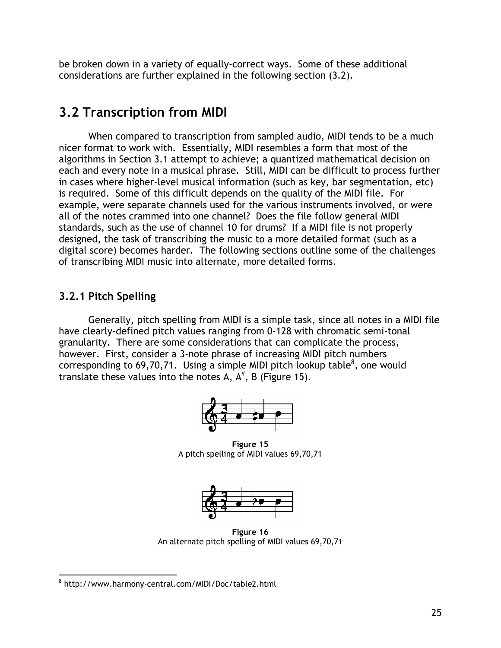be broken down in a variety of equally-correct ways. Some of these additional considerations are further explained in the following section (3.2).

# **3.2 Transcription from MIDI**

When compared to transcription from sampled audio, MIDI tends to be a much nicer format to work with. Essentially, MIDI resembles a form that most of the algorithms in Section 3.1 attempt to achieve; a quantized mathematical decision on each and every note in a musical phrase. Still, MIDI can be difficult to process further in cases where higher-level musical information (such as key, bar segmentation, etc) is required. Some of this difficult depends on the quality of the MIDI file. For example, were separate channels used for the various instruments involved, or were all of the notes crammed into one channel? Does the file follow general MIDI standards, such as the use of channel 10 for drums? If a MIDI file is not properly designed, the task of transcribing the music to a more detailed format (such as a digital score) becomes harder. The following sections outline some of the challenges of transcribing MIDI music into alternate, more detailed forms.

### **3.2.1 Pitch Spelling**

Generally, pitch spelling from MIDI is a simple task, since all notes in a MIDI file have clearly-defined pitch values ranging from 0-128 with chromatic semi-tonal granularity. There are some considerations that can complicate the process, however. First, consider a 3-note phrase of increasing MIDI pitch numbers corresponding to 69,70,71. Using a simple MIDI pitch lookup table<sup>8</sup>, one would translate these values into the notes A,  $A^{\#}$ , B (Figure 15).



**Figure 15** A pitch spelling of MIDI values 69,70,71



**Figure 16**  An alternate pitch spelling of MIDI values 69,70,71

 $\overline{a}$ 8 http://www.harmony-central.com/MIDI/Doc/table2.html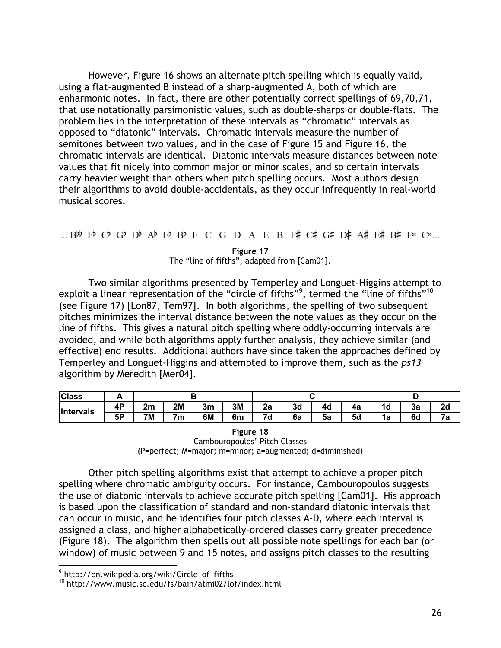However, Figure 16 shows an alternate pitch spelling which is equally valid, using a flat-augmented B instead of a sharp-augmented A, both of which are enharmonic notes. In fact, there are other potentially correct spellings of 69,70,71, that use notationally parsimonistic values, such as double-sharps or double-flats. The problem lies in the interpretation of these intervals as "chromatic" intervals as opposed to "diatonic" intervals. Chromatic intervals measure the number of semitones between two values, and in the case of Figure 15 and Figure 16, the chromatic intervals are identical. Diatonic intervals measure distances between note values that fit nicely into common major or minor scales, and so certain intervals carry heavier weight than others when pitch spelling occurs. Most authors design their algorithms to avoid double-accidentals, as they occur infrequently in real-world musical scores.

**Figure 17**  The "line of fifths", adapted from [Cam01].

Two similar algorithms presented by Temperley and Longuet-Higgins attempt to exploit a linear representation of the "circle of fifths"<sup>9</sup>, termed the "line of fifths"<sup>10</sup> (see Figure 17) [Lon87, Tem97]. In both algorithms, the spelling of two subsequent pitches minimizes the interval distance between the note values as they occur on the line of fifths. This gives a natural pitch spelling where oddly-occurring intervals are avoided, and while both algorithms apply further analysis, they achieve similar (and effective) end results. Additional authors have since taken the approaches defined by Temperley and Longuet-Higgins and attempted to improve them, such as the *ps13* algorithm by Meredith [Mer04].

| <b>Class</b> | r              |           |    |    |    |                |    |    |    |    |    |    |
|--------------|----------------|-----------|----|----|----|----------------|----|----|----|----|----|----|
| Intervals    | <b>AD</b><br>. | 2m        | 2M | 3m | 3M | 2a             | 3d | 4d | 4а | 1d | За | 2d |
|              | 5P             | <b>7M</b> | 7m | 6M | 6m | 7 <sub>d</sub> | 6а | 5a | 5d | 1а | 6d | 7a |

**Figure 18**  Cambouropoulos' Pitch Classes (P=perfect; M=major; m=minor; a=augmented; d=diminished)

Other pitch spelling algorithms exist that attempt to achieve a proper pitch spelling where chromatic ambiguity occurs. For instance, Cambouropoulos suggests the use of diatonic intervals to achieve accurate pitch spelling [Cam01]. His approach is based upon the classification of standard and non-standard diatonic intervals that can occur in music, and he identifies four pitch classes A-D, where each interval is assigned a class, and higher alphabetically-ordered classes carry greater precedence (Figure 18). The algorithm then spells out all possible note spellings for each bar (or window) of music between 9 and 15 notes, and assigns pitch classes to the resulting

 $\overline{a}$ 

<sup>&</sup>lt;sup>9</sup> http://en.wikipedia.org/wiki/Circle\_of\_fifths

<sup>10</sup> http://www.music.sc.edu/fs/bain/atmi02/lof/index.html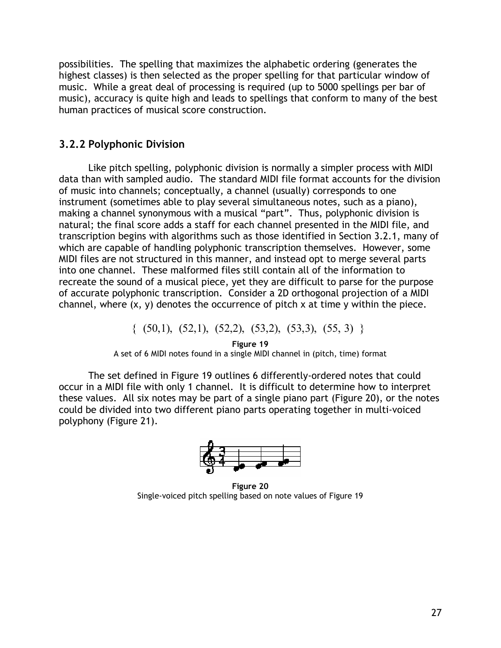possibilities. The spelling that maximizes the alphabetic ordering (generates the highest classes) is then selected as the proper spelling for that particular window of music. While a great deal of processing is required (up to 5000 spellings per bar of music), accuracy is quite high and leads to spellings that conform to many of the best human practices of musical score construction.

### **3.2.2 Polyphonic Division**

Like pitch spelling, polyphonic division is normally a simpler process with MIDI data than with sampled audio. The standard MIDI file format accounts for the division of music into channels; conceptually, a channel (usually) corresponds to one instrument (sometimes able to play several simultaneous notes, such as a piano), making a channel synonymous with a musical "part". Thus, polyphonic division is natural; the final score adds a staff for each channel presented in the MIDI file, and transcription begins with algorithms such as those identified in Section 3.2.1, many of which are capable of handling polyphonic transcription themselves. However, some MIDI files are not structured in this manner, and instead opt to merge several parts into one channel. These malformed files still contain all of the information to recreate the sound of a musical piece, yet they are difficult to parse for the purpose of accurate polyphonic transcription. Consider a 2D orthogonal projection of a MIDI channel, where  $(x, y)$  denotes the occurrence of pitch x at time y within the piece.

 $\{ (50,1), (52,1), (52,2), (53,2), (53,3), (55,3) \}$ 

**Figure 19**  A set of 6 MIDI notes found in a single MIDI channel in (pitch, time) format

The set defined in Figure 19 outlines 6 differently-ordered notes that could occur in a MIDI file with only 1 channel. It is difficult to determine how to interpret these values. All six notes may be part of a single piano part (Figure 20), or the notes could be divided into two different piano parts operating together in multi-voiced polyphony (Figure 21).



**Figure 20**  Single-voiced pitch spelling based on note values of Figure 19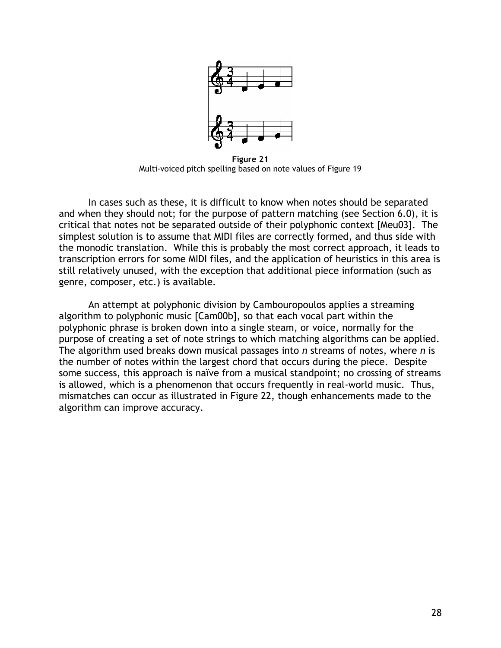

**Figure 21**  Multi-voiced pitch spelling based on note values of Figure 19

In cases such as these, it is difficult to know when notes should be separated and when they should not; for the purpose of pattern matching (see Section 6.0), it is critical that notes not be separated outside of their polyphonic context [Meu03]. The simplest solution is to assume that MIDI files are correctly formed, and thus side with the monodic translation. While this is probably the most correct approach, it leads to transcription errors for some MIDI files, and the application of heuristics in this area is still relatively unused, with the exception that additional piece information (such as genre, composer, etc.) is available.

An attempt at polyphonic division by Cambouropoulos applies a streaming algorithm to polyphonic music [Cam00b], so that each vocal part within the polyphonic phrase is broken down into a single steam, or voice, normally for the purpose of creating a set of note strings to which matching algorithms can be applied. The algorithm used breaks down musical passages into *n* streams of notes, where *n* is the number of notes within the largest chord that occurs during the piece. Despite some success, this approach is naïve from a musical standpoint; no crossing of streams is allowed, which is a phenomenon that occurs frequently in real-world music. Thus, mismatches can occur as illustrated in Figure 22, though enhancements made to the algorithm can improve accuracy.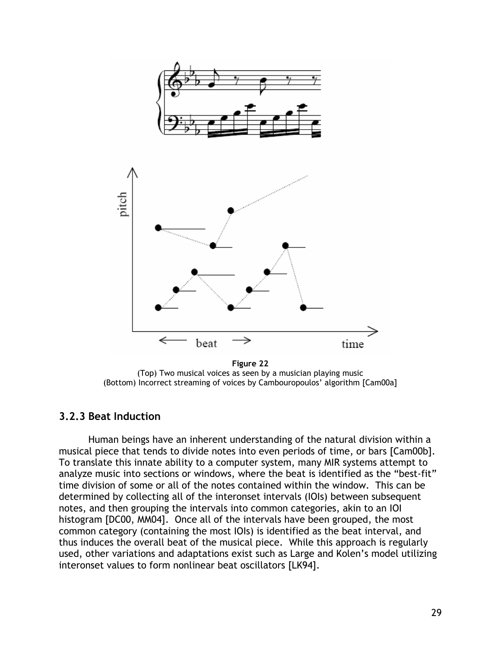

**Figure 22**  (Top) Two musical voices as seen by a musician playing music (Bottom) Incorrect streaming of voices by Cambouropoulos' algorithm [Cam00a]

#### **3.2.3 Beat Induction**

Human beings have an inherent understanding of the natural division within a musical piece that tends to divide notes into even periods of time, or bars [Cam00b]. To translate this innate ability to a computer system, many MIR systems attempt to analyze music into sections or windows, where the beat is identified as the "best-fit" time division of some or all of the notes contained within the window. This can be determined by collecting all of the interonset intervals (IOIs) between subsequent notes, and then grouping the intervals into common categories, akin to an IOI histogram [DC00, MM04]. Once all of the intervals have been grouped, the most common category (containing the most IOIs) is identified as the beat interval, and thus induces the overall beat of the musical piece. While this approach is regularly used, other variations and adaptations exist such as Large and Kolen's model utilizing interonset values to form nonlinear beat oscillators [LK94].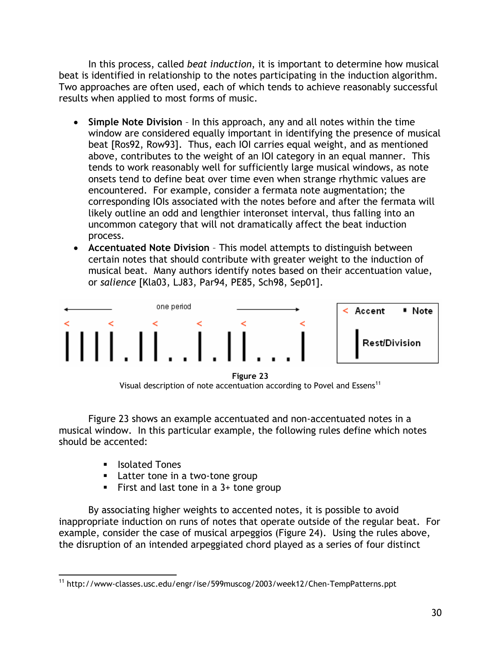In this process, called *beat induction*, it is important to determine how musical beat is identified in relationship to the notes participating in the induction algorithm. Two approaches are often used, each of which tends to achieve reasonably successful results when applied to most forms of music.

- **Simple Note Division** In this approach, any and all notes within the time window are considered equally important in identifying the presence of musical beat [Ros92, Row93]. Thus, each IOI carries equal weight, and as mentioned above, contributes to the weight of an IOI category in an equal manner. This tends to work reasonably well for sufficiently large musical windows, as note onsets tend to define beat over time even when strange rhythmic values are encountered. For example, consider a fermata note augmentation; the corresponding IOIs associated with the notes before and after the fermata will likely outline an odd and lengthier interonset interval, thus falling into an uncommon category that will not dramatically affect the beat induction process.
- **Accentuated Note Division** This model attempts to distinguish between certain notes that should contribute with greater weight to the induction of musical beat. Many authors identify notes based on their accentuation value, or *salience* [Kla03, LJ83, Par94, PE85, Sch98, Sep01].



**Figure 23**  Visual description of note accentuation according to Povel and Essens<sup>11</sup>

Figure 23 shows an example accentuated and non-accentuated notes in a musical window. In this particular example, the following rules define which notes should be accented:

- Isolated Tones
- **Latter tone in a two-tone group**
- First and last tone in a  $3+$  tone group

By associating higher weights to accented notes, it is possible to avoid inappropriate induction on runs of notes that operate outside of the regular beat. For example, consider the case of musical arpeggios (Figure 24). Using the rules above, the disruption of an intended arpeggiated chord played as a series of four distinct

 $\overline{a}$ 11 http://www-classes.usc.edu/engr/ise/599muscog/2003/week12/Chen-TempPatterns.ppt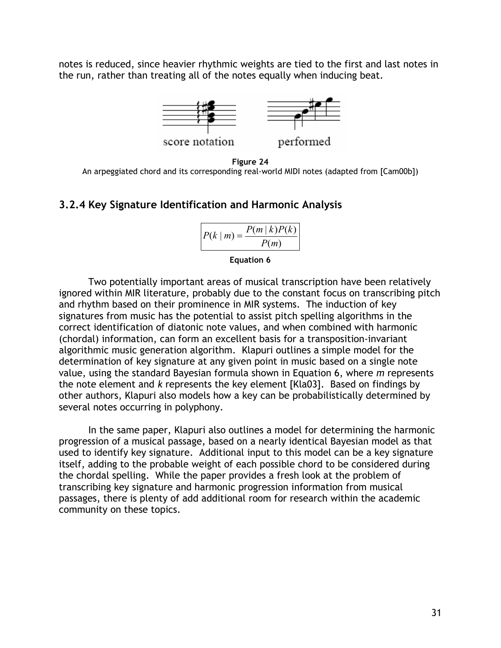notes is reduced, since heavier rhythmic weights are tied to the first and last notes in the run, rather than treating all of the notes equally when inducing beat.



**Figure 24**  An arpeggiated chord and its corresponding real-world MIDI notes (adapted from [Cam00b])

#### **3.2.4 Key Signature Identification and Harmonic Analysis**

$$
P(k \mid m) = \frac{P(m \mid k)P(k)}{P(m)}
$$

#### **Equation 6**

Two potentially important areas of musical transcription have been relatively ignored within MIR literature, probably due to the constant focus on transcribing pitch and rhythm based on their prominence in MIR systems. The induction of key signatures from music has the potential to assist pitch spelling algorithms in the correct identification of diatonic note values, and when combined with harmonic (chordal) information, can form an excellent basis for a transposition-invariant algorithmic music generation algorithm. Klapuri outlines a simple model for the determination of key signature at any given point in music based on a single note value, using the standard Bayesian formula shown in Equation 6, where *m* represents the note element and *k* represents the key element [Kla03]. Based on findings by other authors, Klapuri also models how a key can be probabilistically determined by several notes occurring in polyphony.

In the same paper, Klapuri also outlines a model for determining the harmonic progression of a musical passage, based on a nearly identical Bayesian model as that used to identify key signature. Additional input to this model can be a key signature itself, adding to the probable weight of each possible chord to be considered during the chordal spelling. While the paper provides a fresh look at the problem of transcribing key signature and harmonic progression information from musical passages, there is plenty of add additional room for research within the academic community on these topics.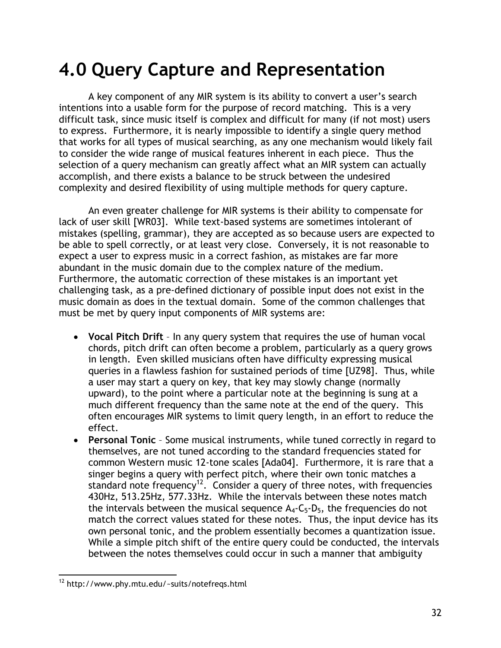# **4.0 Query Capture and Representation**

A key component of any MIR system is its ability to convert a user's search intentions into a usable form for the purpose of record matching. This is a very difficult task, since music itself is complex and difficult for many (if not most) users to express. Furthermore, it is nearly impossible to identify a single query method that works for all types of musical searching, as any one mechanism would likely fail to consider the wide range of musical features inherent in each piece. Thus the selection of a query mechanism can greatly affect what an MIR system can actually accomplish, and there exists a balance to be struck between the undesired complexity and desired flexibility of using multiple methods for query capture.

An even greater challenge for MIR systems is their ability to compensate for lack of user skill [WR03]. While text-based systems are sometimes intolerant of mistakes (spelling, grammar), they are accepted as so because users are expected to be able to spell correctly, or at least very close. Conversely, it is not reasonable to expect a user to express music in a correct fashion, as mistakes are far more abundant in the music domain due to the complex nature of the medium. Furthermore, the automatic correction of these mistakes is an important yet challenging task, as a pre-defined dictionary of possible input does not exist in the music domain as does in the textual domain. Some of the common challenges that must be met by query input components of MIR systems are:

- **Vocal Pitch Drift** In any query system that requires the use of human vocal chords, pitch drift can often become a problem, particularly as a query grows in length. Even skilled musicians often have difficulty expressing musical queries in a flawless fashion for sustained periods of time [UZ98]. Thus, while a user may start a query on key, that key may slowly change (normally upward), to the point where a particular note at the beginning is sung at a much different frequency than the same note at the end of the query. This often encourages MIR systems to limit query length, in an effort to reduce the effect.
- **Personal Tonic** Some musical instruments, while tuned correctly in regard to themselves, are not tuned according to the standard frequencies stated for common Western music 12-tone scales [Ada04]. Furthermore, it is rare that a singer begins a query with perfect pitch, where their own tonic matches a standard note frequency<sup>12</sup>. Consider a query of three notes, with frequencies 430Hz, 513.25Hz, 577.33Hz. While the intervals between these notes match the intervals between the musical sequence  $A_4$ - $C_5$ - $D_5$ , the frequencies do not match the correct values stated for these notes. Thus, the input device has its own personal tonic, and the problem essentially becomes a quantization issue. While a simple pitch shift of the entire query could be conducted, the intervals between the notes themselves could occur in such a manner that ambiguity

<sup>1</sup>  $12$  http://www.phy.mtu.edu/~suits/notefreqs.html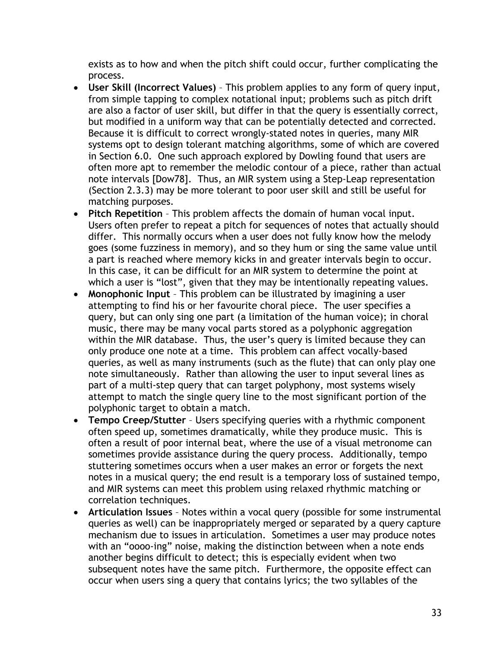exists as to how and when the pitch shift could occur, further complicating the process.

- **User Skill (Incorrect Values)**  This problem applies to any form of query input, from simple tapping to complex notational input; problems such as pitch drift are also a factor of user skill, but differ in that the query is essentially correct, but modified in a uniform way that can be potentially detected and corrected. Because it is difficult to correct wrongly-stated notes in queries, many MIR systems opt to design tolerant matching algorithms, some of which are covered in Section 6.0. One such approach explored by Dowling found that users are often more apt to remember the melodic contour of a piece, rather than actual note intervals [Dow78]. Thus, an MIR system using a Step-Leap representation (Section 2.3.3) may be more tolerant to poor user skill and still be useful for matching purposes.
- **Pitch Repetition** This problem affects the domain of human vocal input. Users often prefer to repeat a pitch for sequences of notes that actually should differ. This normally occurs when a user does not fully know how the melody goes (some fuzziness in memory), and so they hum or sing the same value until a part is reached where memory kicks in and greater intervals begin to occur. In this case, it can be difficult for an MIR system to determine the point at which a user is "lost", given that they may be intentionally repeating values.
- **Monophonic Input** This problem can be illustrated by imagining a user attempting to find his or her favourite choral piece. The user specifies a query, but can only sing one part (a limitation of the human voice); in choral music, there may be many vocal parts stored as a polyphonic aggregation within the MIR database. Thus, the user's query is limited because they can only produce one note at a time. This problem can affect vocally-based queries, as well as many instruments (such as the flute) that can only play one note simultaneously. Rather than allowing the user to input several lines as part of a multi-step query that can target polyphony, most systems wisely attempt to match the single query line to the most significant portion of the polyphonic target to obtain a match.
- **Tempo Creep/Stutter**  Users specifying queries with a rhythmic component often speed up, sometimes dramatically, while they produce music. This is often a result of poor internal beat, where the use of a visual metronome can sometimes provide assistance during the query process. Additionally, tempo stuttering sometimes occurs when a user makes an error or forgets the next notes in a musical query; the end result is a temporary loss of sustained tempo, and MIR systems can meet this problem using relaxed rhythmic matching or correlation techniques.
- **Articulation Issues** Notes within a vocal query (possible for some instrumental queries as well) can be inappropriately merged or separated by a query capture mechanism due to issues in articulation. Sometimes a user may produce notes with an "oooo-ing" noise, making the distinction between when a note ends another begins difficult to detect; this is especially evident when two subsequent notes have the same pitch. Furthermore, the opposite effect can occur when users sing a query that contains lyrics; the two syllables of the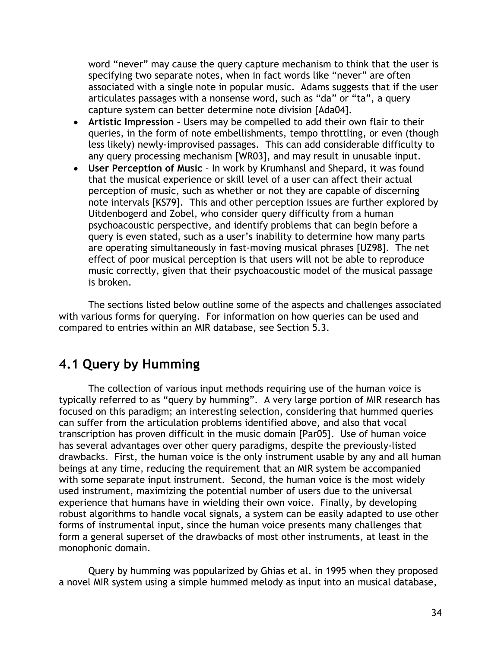word "never" may cause the query capture mechanism to think that the user is specifying two separate notes, when in fact words like "never" are often associated with a single note in popular music. Adams suggests that if the user articulates passages with a nonsense word, such as "da" or "ta", a query capture system can better determine note division [Ada04].

- **Artistic Impression**  Users may be compelled to add their own flair to their queries, in the form of note embellishments, tempo throttling, or even (though less likely) newly-improvised passages. This can add considerable difficulty to any query processing mechanism [WR03], and may result in unusable input.
- **User Perception of Music** In work by Krumhansl and Shepard, it was found that the musical experience or skill level of a user can affect their actual perception of music, such as whether or not they are capable of discerning note intervals [KS79]. This and other perception issues are further explored by Uitdenbogerd and Zobel, who consider query difficulty from a human psychoacoustic perspective, and identify problems that can begin before a query is even stated, such as a user's inability to determine how many parts are operating simultaneously in fast-moving musical phrases [UZ98]. The net effect of poor musical perception is that users will not be able to reproduce music correctly, given that their psychoacoustic model of the musical passage is broken.

The sections listed below outline some of the aspects and challenges associated with various forms for querying. For information on how queries can be used and compared to entries within an MIR database, see Section 5.3.

# **4.1 Query by Humming**

The collection of various input methods requiring use of the human voice is typically referred to as "query by humming". A very large portion of MIR research has focused on this paradigm; an interesting selection, considering that hummed queries can suffer from the articulation problems identified above, and also that vocal transcription has proven difficult in the music domain [Par05]. Use of human voice has several advantages over other query paradigms, despite the previously-listed drawbacks. First, the human voice is the only instrument usable by any and all human beings at any time, reducing the requirement that an MIR system be accompanied with some separate input instrument. Second, the human voice is the most widely used instrument, maximizing the potential number of users due to the universal experience that humans have in wielding their own voice. Finally, by developing robust algorithms to handle vocal signals, a system can be easily adapted to use other forms of instrumental input, since the human voice presents many challenges that form a general superset of the drawbacks of most other instruments, at least in the monophonic domain.

Query by humming was popularized by Ghias et al. in 1995 when they proposed a novel MIR system using a simple hummed melody as input into an musical database,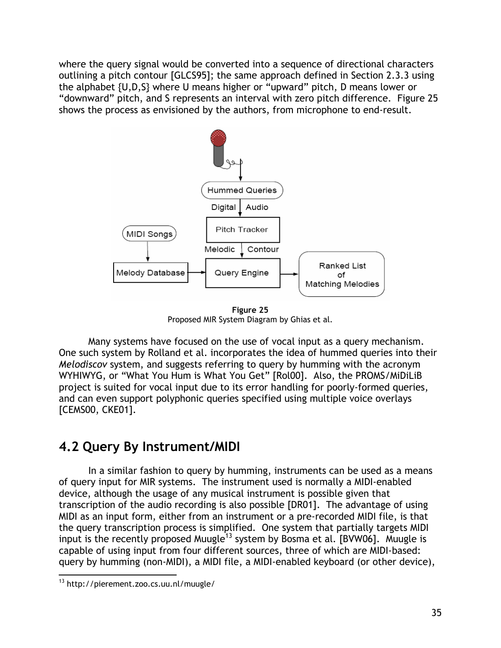where the query signal would be converted into a sequence of directional characters outlining a pitch contour [GLCS95]; the same approach defined in Section 2.3.3 using the alphabet {U,D,S} where U means higher or "upward" pitch, D means lower or "downward" pitch, and S represents an interval with zero pitch difference. Figure 25 shows the process as envisioned by the authors, from microphone to end-result.



**Figure 25**  Proposed MIR System Diagram by Ghias et al.

Many systems have focused on the use of vocal input as a query mechanism. One such system by Rolland et al. incorporates the idea of hummed queries into their *Melodiscov* system, and suggests referring to query by humming with the acronym WYHIWYG, or "What You Hum is What You Get" [Rol00]. Also, the PROMS/MiDiLiB project is suited for vocal input due to its error handling for poorly-formed queries, and can even support polyphonic queries specified using multiple voice overlays [CEMS00, CKE01].

# **4.2 Query By Instrument/MIDI**

In a similar fashion to query by humming, instruments can be used as a means of query input for MIR systems. The instrument used is normally a MIDI-enabled device, although the usage of any musical instrument is possible given that transcription of the audio recording is also possible [DR01]. The advantage of using MIDI as an input form, either from an instrument or a pre-recorded MIDI file, is that the query transcription process is simplified. One system that partially targets MIDI input is the recently proposed Muugle<sup>13</sup> system by Bosma et al. [BVW06]. Muugle is capable of using input from four different sources, three of which are MIDI-based: query by humming (non-MIDI), a MIDI file, a MIDI-enabled keyboard (or other device),

 $\overline{a}$ <sup>13</sup> http://pierement.zoo.cs.uu.nl/muugle/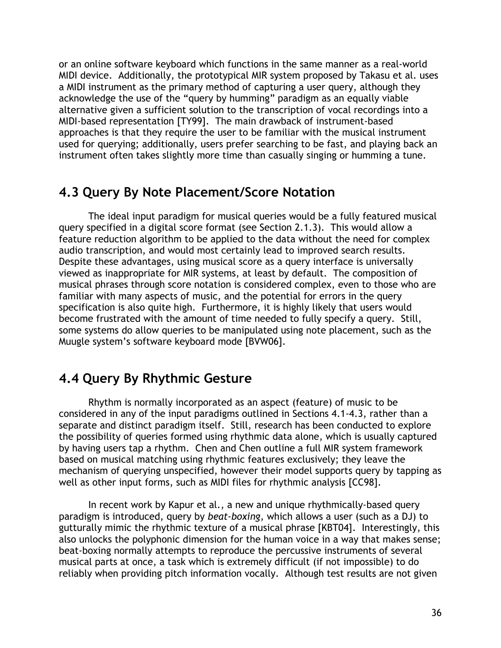or an online software keyboard which functions in the same manner as a real-world MIDI device. Additionally, the prototypical MIR system proposed by Takasu et al. uses a MIDI instrument as the primary method of capturing a user query, although they acknowledge the use of the "query by humming" paradigm as an equally viable alternative given a sufficient solution to the transcription of vocal recordings into a MIDI-based representation [TY99]. The main drawback of instrument-based approaches is that they require the user to be familiar with the musical instrument used for querying; additionally, users prefer searching to be fast, and playing back an instrument often takes slightly more time than casually singing or humming a tune.

## **4.3 Query By Note Placement/Score Notation**

The ideal input paradigm for musical queries would be a fully featured musical query specified in a digital score format (see Section 2.1.3). This would allow a feature reduction algorithm to be applied to the data without the need for complex audio transcription, and would most certainly lead to improved search results. Despite these advantages, using musical score as a query interface is universally viewed as inappropriate for MIR systems, at least by default. The composition of musical phrases through score notation is considered complex, even to those who are familiar with many aspects of music, and the potential for errors in the query specification is also quite high. Furthermore, it is highly likely that users would become frustrated with the amount of time needed to fully specify a query. Still, some systems do allow queries to be manipulated using note placement, such as the Muugle system's software keyboard mode [BVW06].

# **4.4 Query By Rhythmic Gesture**

Rhythm is normally incorporated as an aspect (feature) of music to be considered in any of the input paradigms outlined in Sections 4.1-4.3, rather than a separate and distinct paradigm itself. Still, research has been conducted to explore the possibility of queries formed using rhythmic data alone, which is usually captured by having users tap a rhythm. Chen and Chen outline a full MIR system framework based on musical matching using rhythmic features exclusively; they leave the mechanism of querying unspecified, however their model supports query by tapping as well as other input forms, such as MIDI files for rhythmic analysis [CC98].

In recent work by Kapur et al., a new and unique rhythmically-based query paradigm is introduced, query by *beat-boxing*, which allows a user (such as a DJ) to gutturally mimic the rhythmic texture of a musical phrase [KBT04]. Interestingly, this also unlocks the polyphonic dimension for the human voice in a way that makes sense; beat-boxing normally attempts to reproduce the percussive instruments of several musical parts at once, a task which is extremely difficult (if not impossible) to do reliably when providing pitch information vocally. Although test results are not given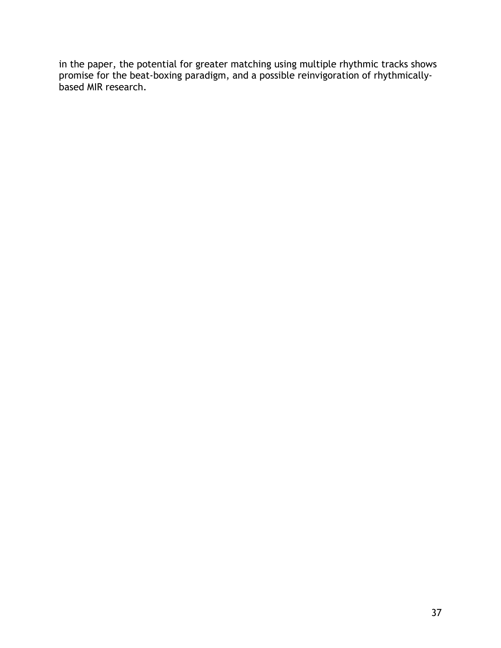in the paper, the potential for greater matching using multiple rhythmic tracks shows promise for the beat-boxing paradigm, and a possible reinvigoration of rhythmicallybased MIR research.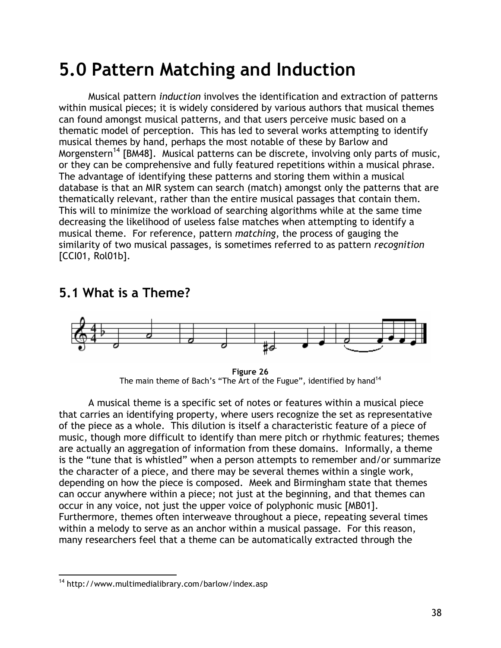# **5.0 Pattern Matching and Induction**

Musical pattern *induction* involves the identification and extraction of patterns within musical pieces; it is widely considered by various authors that musical themes can found amongst musical patterns, and that users perceive music based on a thematic model of perception. This has led to several works attempting to identify musical themes by hand, perhaps the most notable of these by Barlow and Morgenstern<sup>14</sup> [BM48]. Musical patterns can be discrete, involving only parts of music, or they can be comprehensive and fully featured repetitions within a musical phrase. The advantage of identifying these patterns and storing them within a musical database is that an MIR system can search (match) amongst only the patterns that are thematically relevant, rather than the entire musical passages that contain them. This will to minimize the workload of searching algorithms while at the same time decreasing the likelihood of useless false matches when attempting to identify a musical theme. For reference, pattern *matching*, the process of gauging the similarity of two musical passages, is sometimes referred to as pattern *recognition* [CCI01, Rol01b].

# **5.1 What is a Theme?**



**Figure 26**  The main theme of Bach's "The Art of the Fugue", identified by hand<sup>14</sup>

A musical theme is a specific set of notes or features within a musical piece that carries an identifying property, where users recognize the set as representative of the piece as a whole. This dilution is itself a characteristic feature of a piece of music, though more difficult to identify than mere pitch or rhythmic features; themes are actually an aggregation of information from these domains. Informally, a theme is the "tune that is whistled" when a person attempts to remember and/or summarize the character of a piece, and there may be several themes within a single work, depending on how the piece is composed. Meek and Birmingham state that themes can occur anywhere within a piece; not just at the beginning, and that themes can occur in any voice, not just the upper voice of polyphonic music [MB01]. Furthermore, themes often interweave throughout a piece, repeating several times within a melody to serve as an anchor within a musical passage. For this reason, many researchers feel that a theme can be automatically extracted through the

 $\overline{a}$ 14 http://www.multimedialibrary.com/barlow/index.asp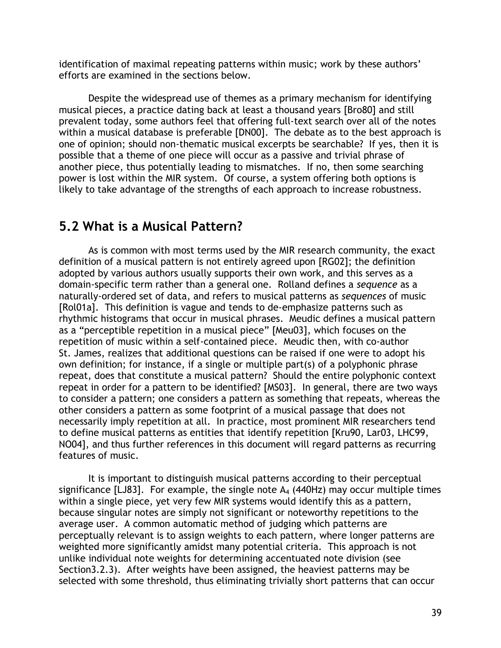identification of maximal repeating patterns within music; work by these authors' efforts are examined in the sections below.

Despite the widespread use of themes as a primary mechanism for identifying musical pieces, a practice dating back at least a thousand years [Bro80] and still prevalent today, some authors feel that offering full-text search over all of the notes within a musical database is preferable [DN00]. The debate as to the best approach is one of opinion; should non-thematic musical excerpts be searchable? If yes, then it is possible that a theme of one piece will occur as a passive and trivial phrase of another piece, thus potentially leading to mismatches. If no, then some searching power is lost within the MIR system. Of course, a system offering both options is likely to take advantage of the strengths of each approach to increase robustness.

## **5.2 What is a Musical Pattern?**

As is common with most terms used by the MIR research community, the exact definition of a musical pattern is not entirely agreed upon [RG02]; the definition adopted by various authors usually supports their own work, and this serves as a domain-specific term rather than a general one. Rolland defines a *sequence* as a naturally-ordered set of data, and refers to musical patterns as *sequences* of music [Rol01a]. This definition is vague and tends to de-emphasize patterns such as rhythmic histograms that occur in musical phrases. Meudic defines a musical pattern as a "perceptible repetition in a musical piece" [Meu03], which focuses on the repetition of music within a self-contained piece. Meudic then, with co-author St. James, realizes that additional questions can be raised if one were to adopt his own definition; for instance, if a single or multiple part(s) of a polyphonic phrase repeat, does that constitute a musical pattern? Should the entire polyphonic context repeat in order for a pattern to be identified? [MS03]. In general, there are two ways to consider a pattern; one considers a pattern as something that repeats, whereas the other considers a pattern as some footprint of a musical passage that does not necessarily imply repetition at all. In practice, most prominent MIR researchers tend to define musical patterns as entities that identify repetition [Kru90, Lar03, LHC99, NO04], and thus further references in this document will regard patterns as recurring features of music.

It is important to distinguish musical patterns according to their perceptual significance [LJ83]. For example, the single note  $A_4$  (440Hz) may occur multiple times within a single piece, yet very few MIR systems would identify this as a pattern, because singular notes are simply not significant or noteworthy repetitions to the average user. A common automatic method of judging which patterns are perceptually relevant is to assign weights to each pattern, where longer patterns are weighted more significantly amidst many potential criteria. This approach is not unlike individual note weights for determining accentuated note division (see Section3.2.3). After weights have been assigned, the heaviest patterns may be selected with some threshold, thus eliminating trivially short patterns that can occur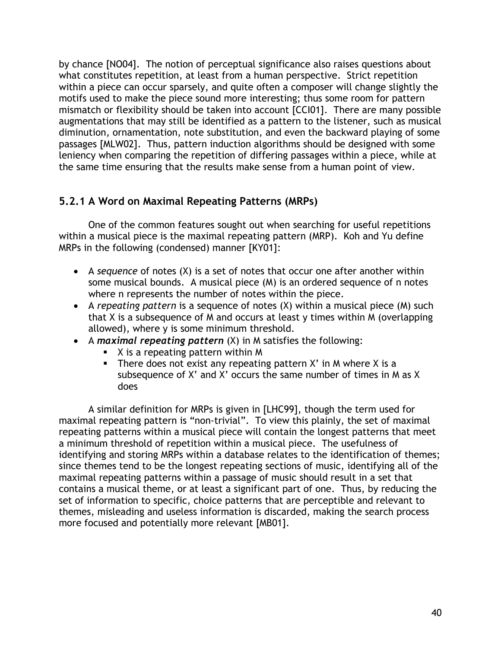by chance [NO04]. The notion of perceptual significance also raises questions about what constitutes repetition, at least from a human perspective. Strict repetition within a piece can occur sparsely, and quite often a composer will change slightly the motifs used to make the piece sound more interesting; thus some room for pattern mismatch or flexibility should be taken into account [CCI01]. There are many possible augmentations that may still be identified as a pattern to the listener, such as musical diminution, ornamentation, note substitution, and even the backward playing of some passages [MLW02]. Thus, pattern induction algorithms should be designed with some leniency when comparing the repetition of differing passages within a piece, while at the same time ensuring that the results make sense from a human point of view.

## **5.2.1 A Word on Maximal Repeating Patterns (MRPs)**

One of the common features sought out when searching for useful repetitions within a musical piece is the maximal repeating pattern (MRP). Koh and Yu define MRPs in the following (condensed) manner [KY01]:

- A *sequence* of notes (X) is a set of notes that occur one after another within some musical bounds. A musical piece (M) is an ordered sequence of n notes where n represents the number of notes within the piece.
- A *repeating pattern* is a sequence of notes (X) within a musical piece (M) such that X is a subsequence of M and occurs at least y times within M (overlapping allowed), where  $y$  is some minimum threshold.
- A *maximal repeating pattern* (X) in M satisfies the following:
	- **X** is a repeating pattern within M
	- There does not exist any repeating pattern  $X'$  in M where  $X$  is a subsequence of X' and X' occurs the same number of times in M as X does

A similar definition for MRPs is given in [LHC99], though the term used for maximal repeating pattern is "non-trivial". To view this plainly, the set of maximal repeating patterns within a musical piece will contain the longest patterns that meet a minimum threshold of repetition within a musical piece. The usefulness of identifying and storing MRPs within a database relates to the identification of themes; since themes tend to be the longest repeating sections of music, identifying all of the maximal repeating patterns within a passage of music should result in a set that contains a musical theme, or at least a significant part of one. Thus, by reducing the set of information to specific, choice patterns that are perceptible and relevant to themes, misleading and useless information is discarded, making the search process more focused and potentially more relevant [MB01].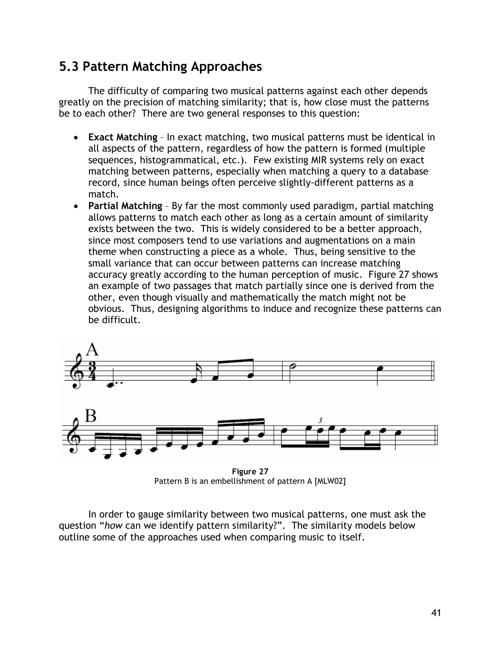# **5.3 Pattern Matching Approaches**

The difficulty of comparing two musical patterns against each other depends greatly on the precision of matching similarity; that is, how close must the patterns be to each other? There are two general responses to this question:

- **Exact Matching** In exact matching, two musical patterns must be identical in all aspects of the pattern, regardless of how the pattern is formed (multiple sequences, histogrammatical, etc.). Few existing MIR systems rely on exact matching between patterns, especially when matching a query to a database record, since human beings often perceive slightly-different patterns as a match.
- **Partial Matching**  By far the most commonly used paradigm, partial matching allows patterns to match each other as long as a certain amount of similarity exists between the two. This is widely considered to be a better approach, since most composers tend to use variations and augmentations on a main theme when constructing a piece as a whole. Thus, being sensitive to the small variance that can occur between patterns can increase matching accuracy greatly according to the human perception of music. Figure 27 shows an example of two passages that match partially since one is derived from the other, even though visually and mathematically the match might not be obvious. Thus, designing algorithms to induce and recognize these patterns can be difficult.



**Figure 27**  Pattern B is an embellishment of pattern A [MLW02]

In order to gauge similarity between two musical patterns, one must ask the question "*how* can we identify pattern similarity?". The similarity models below outline some of the approaches used when comparing music to itself.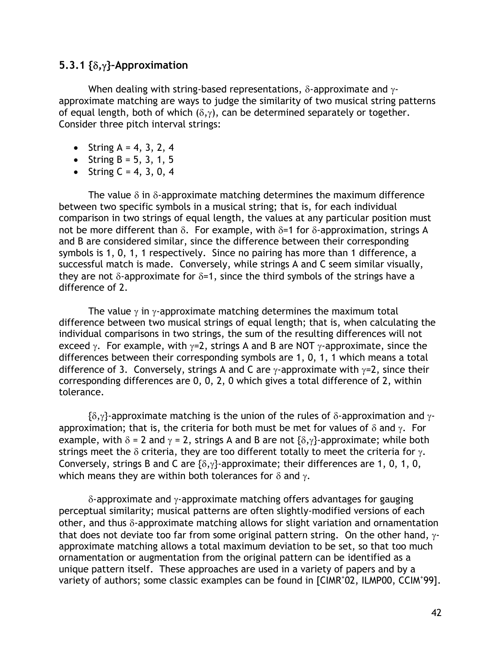#### **5.3.1 {**δ**,**γ**}–Approximation**

When dealing with string-based representations,  $\delta$ -approximate and  $\gamma$ approximate matching are ways to judge the similarity of two musical string patterns of equal length, both of which  $(\delta, \gamma)$ , can be determined separately or together. Consider three pitch interval strings:

- String  $A = 4, 3, 2, 4$
- String  $B = 5, 3, 1, 5$
- String  $C = 4, 3, 0, 4$

The value  $\delta$  in  $\delta$ -approximate matching determines the maximum difference between two specific symbols in a musical string; that is, for each individual comparison in two strings of equal length, the values at any particular position must not be more different than δ. For example, with  $\delta$ =1 for δ-approximation, strings A and B are considered similar, since the difference between their corresponding symbols is 1, 0, 1, 1 respectively. Since no pairing has more than 1 difference, a successful match is made. Conversely, while strings A and C seem similar visually, they are not  $\delta$ -approximate for  $\delta$ =1, since the third symbols of the strings have a difference of 2.

The value  $\gamma$  in  $\gamma$ -approximate matching determines the maximum total difference between two musical strings of equal length; that is, when calculating the individual comparisons in two strings, the sum of the resulting differences will not exceed  $\gamma$ . For example, with  $\gamma=2$ , strings A and B are NOT  $\gamma$ -approximate, since the differences between their corresponding symbols are 1, 0, 1, 1 which means a total difference of 3. Conversely, strings A and C are  $\gamma$ -approximate with  $\gamma$ =2, since their corresponding differences are 0, 0, 2, 0 which gives a total difference of 2, within tolerance.

 $\{\delta, \gamma\}$ -approximate matching is the union of the rules of  $\delta$ -approximation and  $\gamma$ approximation; that is, the criteria for both must be met for values of  $\delta$  and  $\gamma$ . For example, with  $\delta = 2$  and  $\gamma = 2$ , strings A and B are not  $\{\delta, \gamma\}$ -approximate; while both strings meet the  $\delta$  criteria, they are too different totally to meet the criteria for  $\gamma$ . Conversely, strings B and C are  $\{\delta, \gamma\}$ -approximate; their differences are 1, 0, 1, 0, which means they are within both tolerances for  $\delta$  and  $\gamma$ .

δ-approximate and  $γ$ -approximate matching offers advantages for gauging perceptual similarity; musical patterns are often slightly-modified versions of each other, and thus δ-approximate matching allows for slight variation and ornamentation that does not deviate too far from some original pattern string. On the other hand,  $\gamma$ approximate matching allows a total maximum deviation to be set, so that too much ornamentation or augmentation from the original pattern can be identified as a unique pattern itself. These approaches are used in a variety of papers and by a variety of authors; some classic examples can be found in [CIMR<sup>+</sup>02, ILMP00, CCIM<sup>+</sup>99].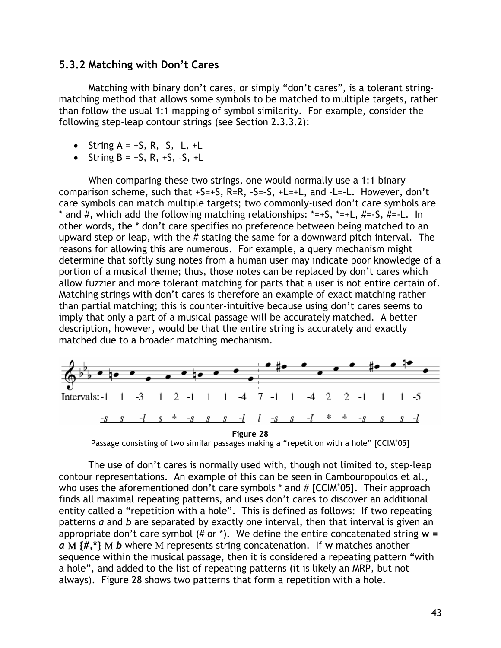#### **5.3.2 Matching with Don't Cares**

Matching with binary don't cares, or simply "don't cares", is a tolerant stringmatching method that allows some symbols to be matched to multiple targets, rather than follow the usual 1:1 mapping of symbol similarity. For example, consider the following step-leap contour strings (see Section 2.3.3.2):

- String  $A = +S$ , R,  $-S$ ,  $-L$ ,  $+L$
- String  $B = +S$ , R,  $+S$ ,  $-S$ .  $+L$

When comparing these two strings, one would normally use a 1:1 binary comparison scheme, such that  $+S=+S$ , R=R,  $-S=-S$ ,  $+L=+L$ , and  $-L=-L$ . However, don't care symbols can match multiple targets; two commonly-used don't care symbols are \* and #, which add the following matching relationships:  $*=+S$ ,  $*=+L$ ,  $#=-S$ ,  $#=-L$ . In other words, the \* don't care specifies no preference between being matched to an upward step or leap, with the # stating the same for a downward pitch interval. The reasons for allowing this are numerous. For example, a query mechanism might determine that softly sung notes from a human user may indicate poor knowledge of a portion of a musical theme; thus, those notes can be replaced by don't cares which allow fuzzier and more tolerant matching for parts that a user is not entire certain of. Matching strings with don't cares is therefore an example of exact matching rather than partial matching; this is counter-intuitive because using don't cares seems to imply that only a part of a musical passage will be accurately matched. A better description, however, would be that the entire string is accurately and exactly matched due to a broader matching mechanism.



Passage consisting of two similar passages making a "repetition with a hole" [CCIM+05]

The use of don't cares is normally used with, though not limited to, step-leap contour representations. An example of this can be seen in Cambouropoulos et al., who uses the aforementioned don't care symbols  $*$  and  $#$  [CCIM $*$ 05]. Their approach finds all maximal repeating patterns, and uses don't cares to discover an additional entity called a "repetition with a hole". This is defined as follows: If two repeating patterns *a* and *b* are separated by exactly one interval, then that interval is given an appropriate don't care symbol (# or \*). We define the entire concatenated string **w =**  *a* Μ **{#,\*}** Μ *b* where Μ represents string concatenation. If **w** matches another sequence within the musical passage, then it is considered a repeating pattern "with a hole", and added to the list of repeating patterns (it is likely an MRP, but not always). Figure 28 shows two patterns that form a repetition with a hole.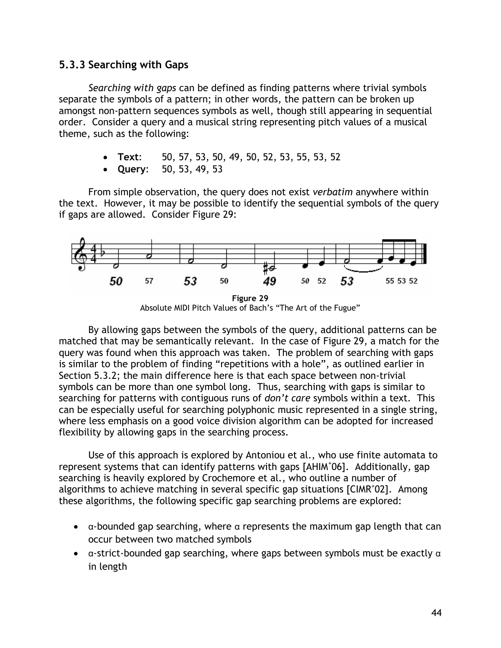#### **5.3.3 Searching with Gaps**

*Searching with gaps* can be defined as finding patterns where trivial symbols separate the symbols of a pattern; in other words, the pattern can be broken up amongst non-pattern sequences symbols as well, though still appearing in sequential order. Consider a query and a musical string representing pitch values of a musical theme, such as the following:

- **Text**: 50, 57, 53, 50, 49, 50, 52, 53, 55, 53, 52
- **Query**: 50, 53, 49, 53

From simple observation, the query does not exist *verbatim* anywhere within the text. However, it may be possible to identify the sequential symbols of the query if gaps are allowed. Consider Figure 29:



Absolute MIDI Pitch Values of Bach's "The Art of the Fugue"

By allowing gaps between the symbols of the query, additional patterns can be matched that may be semantically relevant. In the case of Figure 29, a match for the query was found when this approach was taken. The problem of searching with gaps is similar to the problem of finding "repetitions with a hole", as outlined earlier in Section 5.3.2; the main difference here is that each space between non-trivial symbols can be more than one symbol long. Thus, searching with gaps is similar to searching for patterns with contiguous runs of *don't care* symbols within a text. This can be especially useful for searching polyphonic music represented in a single string, where less emphasis on a good voice division algorithm can be adopted for increased flexibility by allowing gaps in the searching process.

Use of this approach is explored by Antoniou et al., who use finite automata to represent systems that can identify patterns with gaps [AHIM<sup>+</sup> 06]. Additionally, gap searching is heavily explored by Crochemore et al., who outline a number of algorithms to achieve matching in several specific gap situations [CIMR<sup>+</sup>02]. Among these algorithms, the following specific gap searching problems are explored:

- $\bullet$   $\alpha$ -bounded gap searching, where  $\alpha$  represents the maximum gap length that can occur between two matched symbols
- $\bullet$  a-strict-bounded gap searching, where gaps between symbols must be exactly  $\alpha$ in length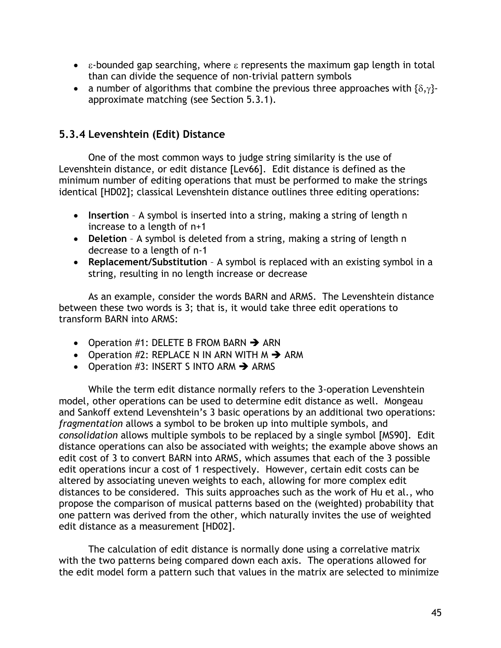- $\bullet$  ε-bounded gap searching, where  $\varepsilon$  represents the maximum gap length in total than can divide the sequence of non-trivial pattern symbols
- a number of algorithms that combine the previous three approaches with  $\{\delta, \gamma\}$ approximate matching (see Section 5.3.1).

## **5.3.4 Levenshtein (Edit) Distance**

One of the most common ways to judge string similarity is the use of Levenshtein distance, or edit distance [Lev66]. Edit distance is defined as the minimum number of editing operations that must be performed to make the strings identical [HD02]; classical Levenshtein distance outlines three editing operations:

- **Insertion** A symbol is inserted into a string, making a string of length n increase to a length of n+1
- **Deletion** A symbol is deleted from a string, making a string of length n decrease to a length of n-1
- **Replacement/Substitution** A symbol is replaced with an existing symbol in a string, resulting in no length increase or decrease

As an example, consider the words BARN and ARMS. The Levenshtein distance between these two words is 3; that is, it would take three edit operations to transform BARN into ARMS:

- Operation #1: DELETE B FROM BARN  $\rightarrow$  ARN
- Operation #2: REPLACE N IN ARN WITH  $M \rightarrow A$ RM
- Operation #3: INSERT S INTO ARM  $\rightarrow$  ARMS

While the term edit distance normally refers to the 3-operation Levenshtein model, other operations can be used to determine edit distance as well. Mongeau and Sankoff extend Levenshtein's 3 basic operations by an additional two operations: *fragmentation* allows a symbol to be broken up into multiple symbols, and *consolidation* allows multiple symbols to be replaced by a single symbol [MS90]. Edit distance operations can also be associated with weights; the example above shows an edit cost of 3 to convert BARN into ARMS, which assumes that each of the 3 possible edit operations incur a cost of 1 respectively. However, certain edit costs can be altered by associating uneven weights to each, allowing for more complex edit distances to be considered. This suits approaches such as the work of Hu et al., who propose the comparison of musical patterns based on the (weighted) probability that one pattern was derived from the other, which naturally invites the use of weighted edit distance as a measurement [HD02].

The calculation of edit distance is normally done using a correlative matrix with the two patterns being compared down each axis. The operations allowed for the edit model form a pattern such that values in the matrix are selected to minimize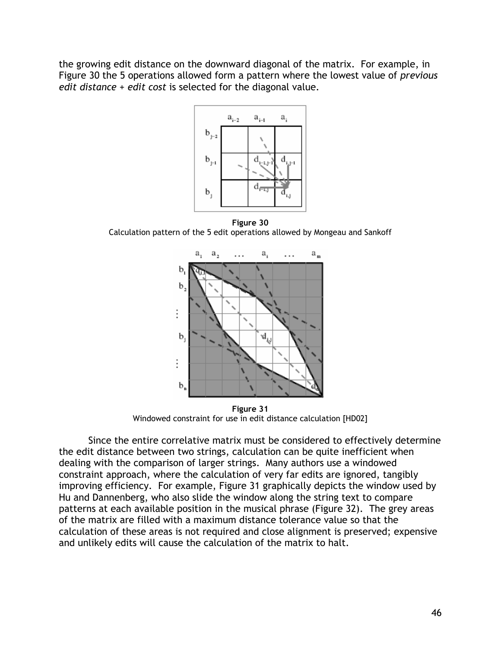the growing edit distance on the downward diagonal of the matrix. For example, in Figure 30 the 5 operations allowed form a pattern where the lowest value of *previous edit distance + edit cost* is selected for the diagonal value.



**Figure 30**  Calculation pattern of the 5 edit operations allowed by Mongeau and Sankoff



**Figure 31**  Windowed constraint for use in edit distance calculation [HD02]

Since the entire correlative matrix must be considered to effectively determine the edit distance between two strings, calculation can be quite inefficient when dealing with the comparison of larger strings. Many authors use a windowed constraint approach, where the calculation of very far edits are ignored, tangibly improving efficiency. For example, Figure 31 graphically depicts the window used by Hu and Dannenberg, who also slide the window along the string text to compare patterns at each available position in the musical phrase (Figure 32). The grey areas of the matrix are filled with a maximum distance tolerance value so that the calculation of these areas is not required and close alignment is preserved; expensive and unlikely edits will cause the calculation of the matrix to halt.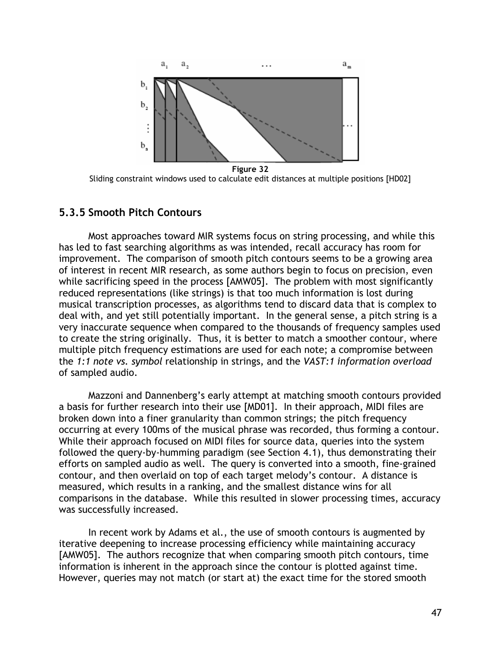

**Figure 32**  Sliding constraint windows used to calculate edit distances at multiple positions [HD02]

#### **5.3.5 Smooth Pitch Contours**

Most approaches toward MIR systems focus on string processing, and while this has led to fast searching algorithms as was intended, recall accuracy has room for improvement. The comparison of smooth pitch contours seems to be a growing area of interest in recent MIR research, as some authors begin to focus on precision, even while sacrificing speed in the process [AMW05]. The problem with most significantly reduced representations (like strings) is that too much information is lost during musical transcription processes, as algorithms tend to discard data that is complex to deal with, and yet still potentially important. In the general sense, a pitch string is a very inaccurate sequence when compared to the thousands of frequency samples used to create the string originally. Thus, it is better to match a smoother contour, where multiple pitch frequency estimations are used for each note; a compromise between the *1:1 note vs. symbol* relationship in strings, and the *VAST:1 information overload* of sampled audio.

Mazzoni and Dannenberg's early attempt at matching smooth contours provided a basis for further research into their use [MD01]. In their approach, MIDI files are broken down into a finer granularity than common strings; the pitch frequency occurring at every 100ms of the musical phrase was recorded, thus forming a contour. While their approach focused on MIDI files for source data, queries into the system followed the query-by-humming paradigm (see Section 4.1), thus demonstrating their efforts on sampled audio as well. The query is converted into a smooth, fine-grained contour, and then overlaid on top of each target melody's contour. A distance is measured, which results in a ranking, and the smallest distance wins for all comparisons in the database. While this resulted in slower processing times, accuracy was successfully increased.

In recent work by Adams et al., the use of smooth contours is augmented by iterative deepening to increase processing efficiency while maintaining accuracy [AMW05]. The authors recognize that when comparing smooth pitch contours, time information is inherent in the approach since the contour is plotted against time. However, queries may not match (or start at) the exact time for the stored smooth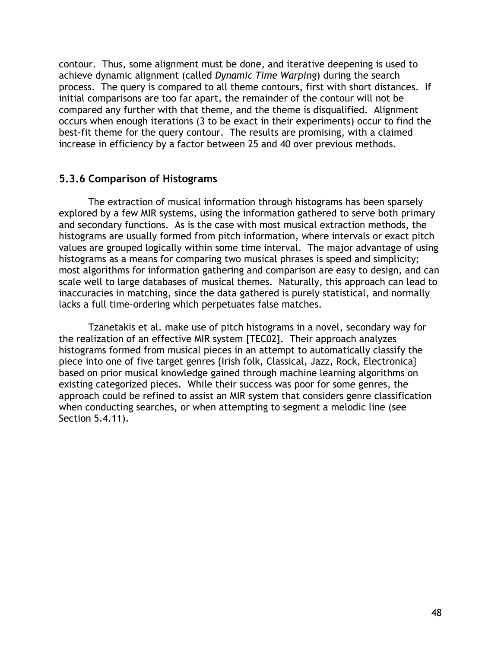contour. Thus, some alignment must be done, and iterative deepening is used to achieve dynamic alignment (called *Dynamic Time Warping*) during the search process. The query is compared to all theme contours, first with short distances. If initial comparisons are too far apart, the remainder of the contour will not be compared any further with that theme, and the theme is disqualified. Alignment occurs when enough iterations (3 to be exact in their experiments) occur to find the best-fit theme for the query contour. The results are promising, with a claimed increase in efficiency by a factor between 25 and 40 over previous methods.

#### **5.3.6 Comparison of Histograms**

The extraction of musical information through histograms has been sparsely explored by a few MIR systems, using the information gathered to serve both primary and secondary functions. As is the case with most musical extraction methods, the histograms are usually formed from pitch information, where intervals or exact pitch values are grouped logically within some time interval. The major advantage of using histograms as a means for comparing two musical phrases is speed and simplicity; most algorithms for information gathering and comparison are easy to design, and can scale well to large databases of musical themes. Naturally, this approach can lead to inaccuracies in matching, since the data gathered is purely statistical, and normally lacks a full time-ordering which perpetuates false matches.

Tzanetakis et al. make use of pitch histograms in a novel, secondary way for the realization of an effective MIR system [TEC02]. Their approach analyzes histograms formed from musical pieces in an attempt to automatically classify the piece into one of five target genres {Irish folk, Classical, Jazz, Rock, Electronica} based on prior musical knowledge gained through machine learning algorithms on existing categorized pieces. While their success was poor for some genres, the approach could be refined to assist an MIR system that considers genre classification when conducting searches, or when attempting to segment a melodic line (see Section 5.4.11).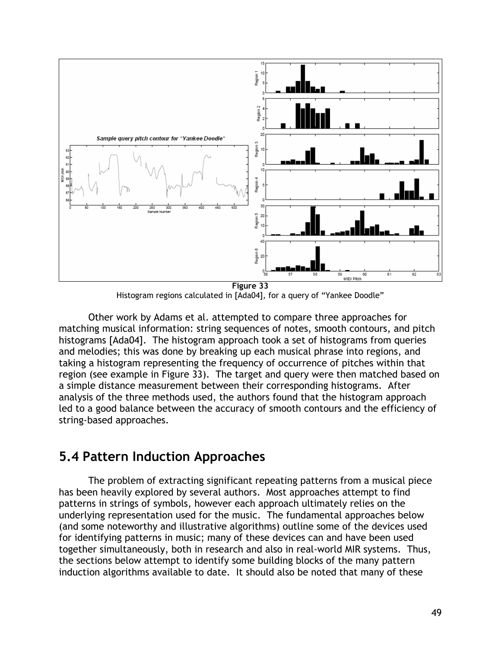

Histogram regions calculated in [Ada04], for a query of "Yankee Doodle"

Other work by Adams et al. attempted to compare three approaches for matching musical information: string sequences of notes, smooth contours, and pitch histograms [Ada04]. The histogram approach took a set of histograms from queries and melodies; this was done by breaking up each musical phrase into regions, and taking a histogram representing the frequency of occurrence of pitches within that region (see example in Figure 33). The target and query were then matched based on a simple distance measurement between their corresponding histograms. After analysis of the three methods used, the authors found that the histogram approach led to a good balance between the accuracy of smooth contours and the efficiency of string-based approaches.

## **5.4 Pattern Induction Approaches**

The problem of extracting significant repeating patterns from a musical piece has been heavily explored by several authors. Most approaches attempt to find patterns in strings of symbols, however each approach ultimately relies on the underlying representation used for the music. The fundamental approaches below (and some noteworthy and illustrative algorithms) outline some of the devices used for identifying patterns in music; many of these devices can and have been used together simultaneously, both in research and also in real-world MIR systems. Thus, the sections below attempt to identify some building blocks of the many pattern induction algorithms available to date. It should also be noted that many of these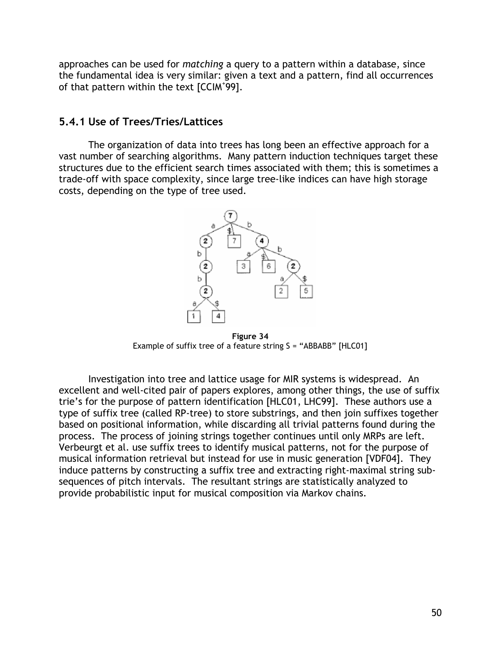approaches can be used for *matching* a query to a pattern within a database, since the fundamental idea is very similar: given a text and a pattern, find all occurrences of that pattern within the text [CCIM<sup>+</sup>99].

#### **5.4.1 Use of Trees/Tries/Lattices**

The organization of data into trees has long been an effective approach for a vast number of searching algorithms. Many pattern induction techniques target these structures due to the efficient search times associated with them; this is sometimes a trade-off with space complexity, since large tree-like indices can have high storage costs, depending on the type of tree used.



**Figure 34**  Example of suffix tree of a feature string S = "ABBABB" [HLC01]

Investigation into tree and lattice usage for MIR systems is widespread. An excellent and well-cited pair of papers explores, among other things, the use of suffix trie's for the purpose of pattern identification [HLC01, LHC99]. These authors use a type of suffix tree (called RP-tree) to store substrings, and then join suffixes together based on positional information, while discarding all trivial patterns found during the process. The process of joining strings together continues until only MRPs are left. Verbeurgt et al. use suffix trees to identify musical patterns, not for the purpose of musical information retrieval but instead for use in music generation [VDF04]. They induce patterns by constructing a suffix tree and extracting right-maximal string subsequences of pitch intervals. The resultant strings are statistically analyzed to provide probabilistic input for musical composition via Markov chains.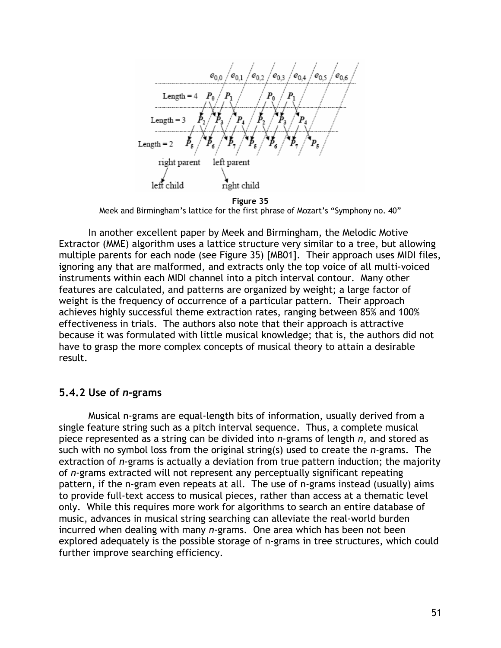$'e_{0.3}$  /  $e_{0.4}$  /  $e_{02}$  $e_{01}$  $e_{0.5}$  $e_{0.6}$ Length =  $4$   $P_0$  $Length = 3$ Length  $= 2$ right parent left parent left child right child

**Figure 35**  Meek and Birmingham's lattice for the first phrase of Mozart's "Symphony no. 40"

In another excellent paper by Meek and Birmingham, the Melodic Motive Extractor (MME) algorithm uses a lattice structure very similar to a tree, but allowing multiple parents for each node (see Figure 35) [MB01]. Their approach uses MIDI files, ignoring any that are malformed, and extracts only the top voice of all multi-voiced instruments within each MIDI channel into a pitch interval contour. Many other features are calculated, and patterns are organized by weight; a large factor of weight is the frequency of occurrence of a particular pattern. Their approach achieves highly successful theme extraction rates, ranging between 85% and 100% effectiveness in trials. The authors also note that their approach is attractive because it was formulated with little musical knowledge; that is, the authors did not have to grasp the more complex concepts of musical theory to attain a desirable result.

#### **5.4.2 Use of** *n***-grams**

Musical n-grams are equal-length bits of information, usually derived from a single feature string such as a pitch interval sequence. Thus, a complete musical piece represented as a string can be divided into *n*-grams of length *n*, and stored as such with no symbol loss from the original string(s) used to create the *n*-grams. The extraction of *n*-grams is actually a deviation from true pattern induction; the majority of *n*-grams extracted will not represent any perceptually significant repeating pattern, if the n-gram even repeats at all. The use of n-grams instead (usually) aims to provide full-text access to musical pieces, rather than access at a thematic level only. While this requires more work for algorithms to search an entire database of music, advances in musical string searching can alleviate the real-world burden incurred when dealing with many *n*-grams. One area which has been not been explored adequately is the possible storage of n-grams in tree structures, which could further improve searching efficiency.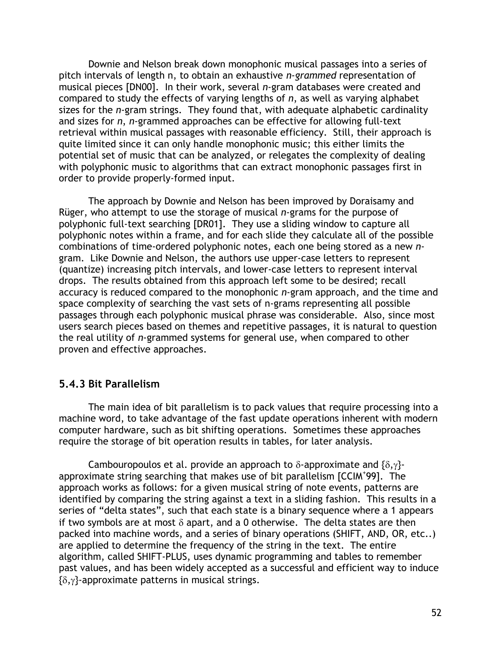Downie and Nelson break down monophonic musical passages into a series of pitch intervals of length n, to obtain an exhaustive *n-grammed* representation of musical pieces [DN00]. In their work, several *n*-gram databases were created and compared to study the effects of varying lengths of *n*, as well as varying alphabet sizes for the *n*-gram strings. They found that, with adequate alphabetic cardinality and sizes for *n*, *n*-grammed approaches can be effective for allowing full-text retrieval within musical passages with reasonable efficiency. Still, their approach is quite limited since it can only handle monophonic music; this either limits the potential set of music that can be analyzed, or relegates the complexity of dealing with polyphonic music to algorithms that can extract monophonic passages first in order to provide properly-formed input.

The approach by Downie and Nelson has been improved by Doraisamy and Rüger, who attempt to use the storage of musical *n*-grams for the purpose of polyphonic full-text searching [DR01]. They use a sliding window to capture all polyphonic notes within a frame, and for each slide they calculate all of the possible combinations of time-ordered polyphonic notes, each one being stored as a new *n*gram. Like Downie and Nelson, the authors use upper-case letters to represent (quantize) increasing pitch intervals, and lower-case letters to represent interval drops. The results obtained from this approach left some to be desired; recall accuracy is reduced compared to the monophonic *n*-gram approach, and the time and space complexity of searching the vast sets of n-grams representing all possible passages through each polyphonic musical phrase was considerable. Also, since most users search pieces based on themes and repetitive passages, it is natural to question the real utility of *n*-grammed systems for general use, when compared to other proven and effective approaches.

#### **5.4.3 Bit Parallelism**

The main idea of bit parallelism is to pack values that require processing into a machine word, to take advantage of the fast update operations inherent with modern computer hardware, such as bit shifting operations. Sometimes these approaches require the storage of bit operation results in tables, for later analysis.

Cambouropoulos et al. provide an approach to  $\delta$ -approximate and  $\{\delta,\gamma\}$ approximate string searching that makes use of bit parallelism [CCIM<sup>+</sup> 99]. The approach works as follows: for a given musical string of note events, patterns are identified by comparing the string against a text in a sliding fashion. This results in a series of "delta states", such that each state is a binary sequence where a 1 appears if two symbols are at most  $\delta$  apart, and a 0 otherwise. The delta states are then packed into machine words, and a series of binary operations (SHIFT, AND, OR, etc..) are applied to determine the frequency of the string in the text. The entire algorithm, called SHIFT-PLUS, uses dynamic programming and tables to remember past values, and has been widely accepted as a successful and efficient way to induce {δ,γ}-approximate patterns in musical strings.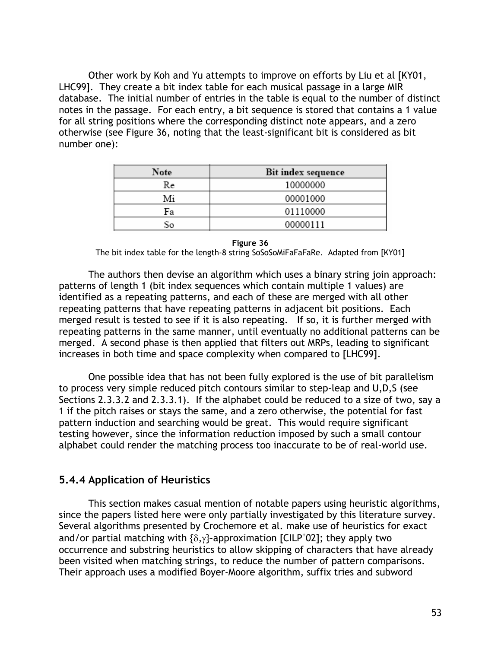Other work by Koh and Yu attempts to improve on efforts by Liu et al [KY01, LHC99]. They create a bit index table for each musical passage in a large MIR database. The initial number of entries in the table is equal to the number of distinct notes in the passage. For each entry, a bit sequence is stored that contains a 1 value for all string positions where the corresponding distinct note appears, and a zero otherwise (see Figure 36, noting that the least-significant bit is considered as bit number one):

| Note | <b>Bit index sequence</b> |
|------|---------------------------|
| Re   | 10000000                  |
| Mi   | 00001000                  |
| Fа   | 01110000                  |
| ŠО   | 00000111                  |

**Figure 36** 

The bit index table for the length-8 string SoSoSoMiFaFaFaRe. Adapted from [KY01]

The authors then devise an algorithm which uses a binary string join approach: patterns of length 1 (bit index sequences which contain multiple 1 values) are identified as a repeating patterns, and each of these are merged with all other repeating patterns that have repeating patterns in adjacent bit positions. Each merged result is tested to see if it is also repeating. If so, it is further merged with repeating patterns in the same manner, until eventually no additional patterns can be merged. A second phase is then applied that filters out MRPs, leading to significant increases in both time and space complexity when compared to [LHC99].

One possible idea that has not been fully explored is the use of bit parallelism to process very simple reduced pitch contours similar to step-leap and U,D,S (see Sections 2.3.3.2 and 2.3.3.1). If the alphabet could be reduced to a size of two, say a 1 if the pitch raises or stays the same, and a zero otherwise, the potential for fast pattern induction and searching would be great. This would require significant testing however, since the information reduction imposed by such a small contour alphabet could render the matching process too inaccurate to be of real-world use.

#### **5.4.4 Application of Heuristics**

This section makes casual mention of notable papers using heuristic algorithms, since the papers listed here were only partially investigated by this literature survey. Several algorithms presented by Crochemore et al. make use of heuristics for exact and/or partial matching with  $\{\delta,\gamma\}$ -approximation [CILP<sup>+</sup>02]; they apply two occurrence and substring heuristics to allow skipping of characters that have already been visited when matching strings, to reduce the number of pattern comparisons. Their approach uses a modified Boyer-Moore algorithm, suffix tries and subword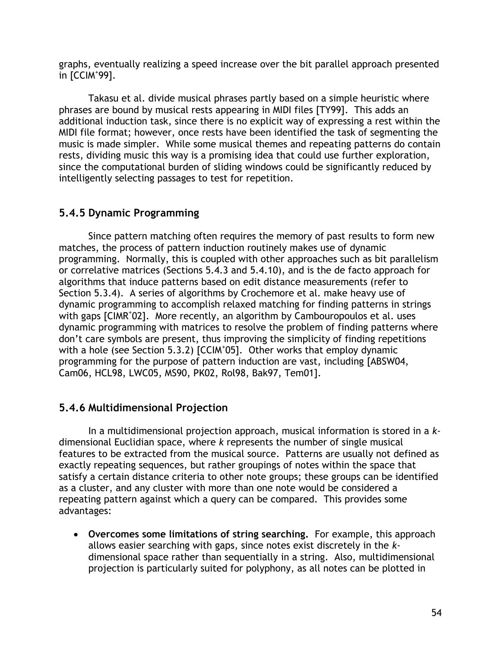graphs, eventually realizing a speed increase over the bit parallel approach presented  $\overline{1}$  [CCIM<sup>+</sup>99].

Takasu et al. divide musical phrases partly based on a simple heuristic where phrases are bound by musical rests appearing in MIDI files [TY99]. This adds an additional induction task, since there is no explicit way of expressing a rest within the MIDI file format; however, once rests have been identified the task of segmenting the music is made simpler. While some musical themes and repeating patterns do contain rests, dividing music this way is a promising idea that could use further exploration, since the computational burden of sliding windows could be significantly reduced by intelligently selecting passages to test for repetition.

### **5.4.5 Dynamic Programming**

Since pattern matching often requires the memory of past results to form new matches, the process of pattern induction routinely makes use of dynamic programming. Normally, this is coupled with other approaches such as bit parallelism or correlative matrices (Sections 5.4.3 and 5.4.10), and is the de facto approach for algorithms that induce patterns based on edit distance measurements (refer to Section 5.3.4). A series of algorithms by Crochemore et al. make heavy use of dynamic programming to accomplish relaxed matching for finding patterns in strings with gaps [CIMR<sup>+</sup>02]. More recently, an algorithm by Cambouropoulos et al. uses dynamic programming with matrices to resolve the problem of finding patterns where don't care symbols are present, thus improving the simplicity of finding repetitions with a hole (see Section 5.3.2) [CCIM<sup>+</sup>05]. Other works that employ dynamic programming for the purpose of pattern induction are vast, including [ABSW04, Cam06, HCL98, LWC05, MS90, PK02, Rol98, Bak97, Tem01].

## **5.4.6 Multidimensional Projection**

In a multidimensional projection approach, musical information is stored in a *k*dimensional Euclidian space, where *k* represents the number of single musical features to be extracted from the musical source. Patterns are usually not defined as exactly repeating sequences, but rather groupings of notes within the space that satisfy a certain distance criteria to other note groups; these groups can be identified as a cluster, and any cluster with more than one note would be considered a repeating pattern against which a query can be compared. This provides some advantages:

• **Overcomes some limitations of string searching.** For example, this approach allows easier searching with gaps, since notes exist discretely in the *k*dimensional space rather than sequentially in a string. Also, multidimensional projection is particularly suited for polyphony, as all notes can be plotted in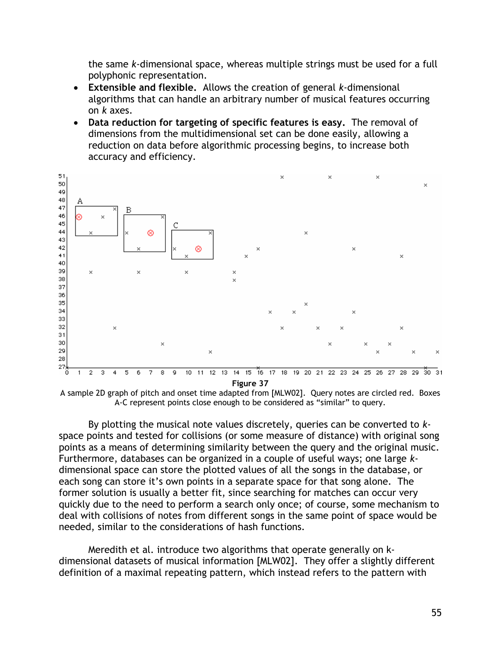the same *k*-dimensional space, whereas multiple strings must be used for a full polyphonic representation.

- **Extensible and flexible.** Allows the creation of general *k*-dimensional algorithms that can handle an arbitrary number of musical features occurring on *k* axes.
- **Data reduction for targeting of specific features is easy.** The removal of dimensions from the multidimensional set can be done easily, allowing a reduction on data before algorithmic processing begins, to increase both accuracy and efficiency.



**Figure 37** 

A sample 2D graph of pitch and onset time adapted from [MLW02]. Query notes are circled red. Boxes A-C represent points close enough to be considered as "similar" to query.

By plotting the musical note values discretely, queries can be converted to *k*space points and tested for collisions (or some measure of distance) with original song points as a means of determining similarity between the query and the original music. Furthermore, databases can be organized in a couple of useful ways; one large *k*dimensional space can store the plotted values of all the songs in the database, or each song can store it's own points in a separate space for that song alone. The former solution is usually a better fit, since searching for matches can occur very quickly due to the need to perform a search only once; of course, some mechanism to deal with collisions of notes from different songs in the same point of space would be needed, similar to the considerations of hash functions.

Meredith et al. introduce two algorithms that operate generally on kdimensional datasets of musical information [MLW02]. They offer a slightly different definition of a maximal repeating pattern, which instead refers to the pattern with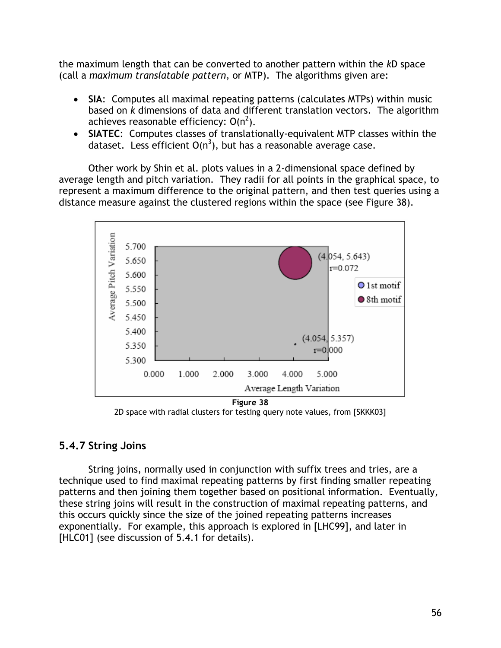the maximum length that can be converted to another pattern within the *k*D space (call a *maximum translatable pattern*, or MTP). The algorithms given are:

- **SIA**: Computes all maximal repeating patterns (calculates MTPs) within music based on *k* dimensions of data and different translation vectors. The algorithm achieves reasonable efficiency:  $O(n^2)$ .
- **SIATEC**: Computes classes of translationally-equivalent MTP classes within the dataset. Less efficient  $O(n^3)$ , but has a reasonable average case.

Other work by Shin et al. plots values in a 2-dimensional space defined by average length and pitch variation. They radii for all points in the graphical space, to represent a maximum difference to the original pattern, and then test queries using a distance measure against the clustered regions within the space (see Figure 38).



2D space with radial clusters for testing query note values, from [SKKK03]

### **5.4.7 String Joins**

String joins, normally used in conjunction with suffix trees and tries, are a technique used to find maximal repeating patterns by first finding smaller repeating patterns and then joining them together based on positional information. Eventually, these string joins will result in the construction of maximal repeating patterns, and this occurs quickly since the size of the joined repeating patterns increases exponentially. For example, this approach is explored in [LHC99], and later in [HLC01] (see discussion of 5.4.1 for details).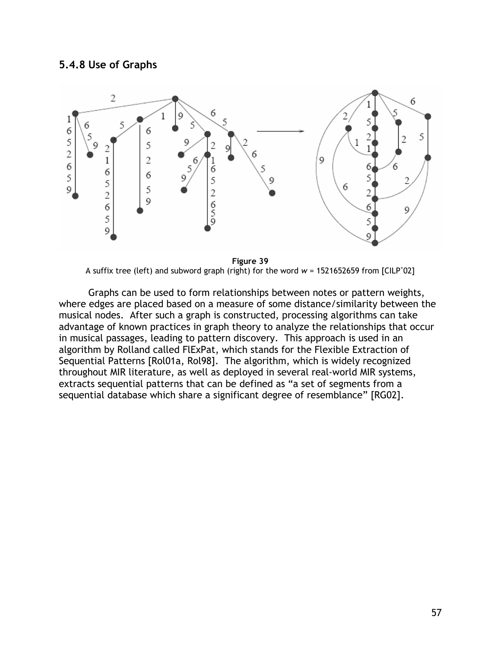#### **5.4.8 Use of Graphs**



**Figure 39**  A suffix tree (left) and subword graph (right) for the word  $w = 1521652659$  from [CILP<sup>+</sup>02]

Graphs can be used to form relationships between notes or pattern weights, where edges are placed based on a measure of some distance/similarity between the musical nodes. After such a graph is constructed, processing algorithms can take advantage of known practices in graph theory to analyze the relationships that occur in musical passages, leading to pattern discovery. This approach is used in an algorithm by Rolland called FlExPat, which stands for the Flexible Extraction of Sequential Patterns [Rol01a, Rol98]. The algorithm, which is widely recognized throughout MIR literature, as well as deployed in several real-world MIR systems, extracts sequential patterns that can be defined as "a set of segments from a sequential database which share a significant degree of resemblance" [RG02].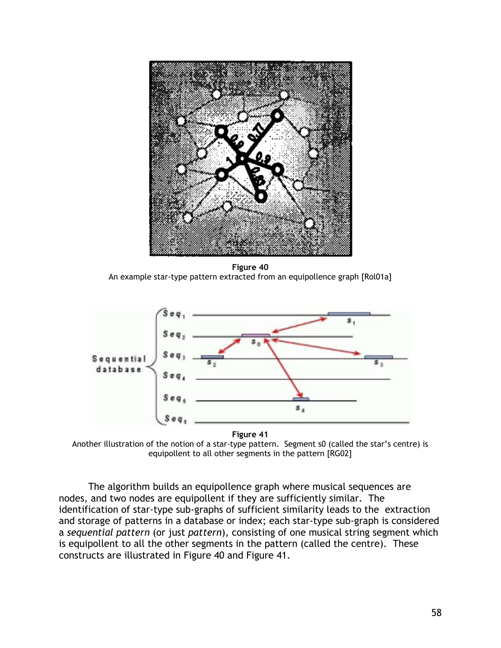

**Figure 40**  An example star-type pattern extracted from an equipollence graph [Rol01a]



Another illustration of the notion of a star-type pattern. Segment s0 (called the star's centre) is equipollent to all other segments in the pattern [RG02]

The algorithm builds an equipollence graph where musical sequences are nodes, and two nodes are equipollent if they are sufficiently similar. The identification of star-type sub-graphs of sufficient similarity leads to the extraction and storage of patterns in a database or index; each star-type sub-graph is considered a *sequential pattern* (or just *pattern*), consisting of one musical string segment which is equipollent to all the other segments in the pattern (called the centre). These constructs are illustrated in Figure 40 and Figure 41.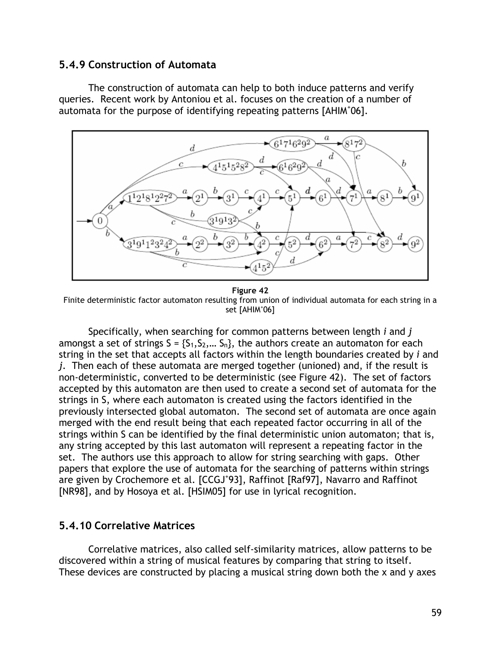#### **5.4.9 Construction of Automata**

The construction of automata can help to both induce patterns and verify queries. Recent work by Antoniou et al. focuses on the creation of a number of automata for the purpose of identifying repeating patterns [AHIM+06].



**Figure 42**  Finite deterministic factor automaton resulting from union of individual automata for each string in a set [AHIM<sup>+</sup> 06]

Specifically, when searching for common patterns between length *i* and *j* amongst a set of strings  $S = \{S_1, S_2, \dots S_n\}$ , the authors create an automaton for each string in the set that accepts all factors within the length boundaries created by *i* and *j*. Then each of these automata are merged together (unioned) and, if the result is non-deterministic, converted to be deterministic (see Figure 42). The set of factors accepted by this automaton are then used to create a second set of automata for the strings in S, where each automaton is created using the factors identified in the previously intersected global automaton. The second set of automata are once again merged with the end result being that each repeated factor occurring in all of the strings within S can be identified by the final deterministic union automaton; that is, any string accepted by this last automaton will represent a repeating factor in the set. The authors use this approach to allow for string searching with gaps. Other papers that explore the use of automata for the searching of patterns within strings are given by Crochemore et al. [CCGJ<sup>+</sup>93], Raffinot [Raf97], Navarro and Raffinot [NR98], and by Hosoya et al. [HSIM05] for use in lyrical recognition.

#### **5.4.10 Correlative Matrices**

Correlative matrices, also called self-similarity matrices, allow patterns to be discovered within a string of musical features by comparing that string to itself. These devices are constructed by placing a musical string down both the x and y axes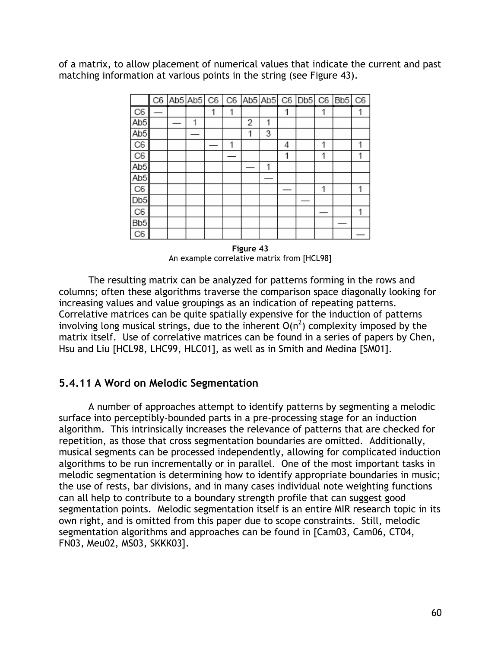of a matrix, to allow placement of numerical values that indicate the current and past matching information at various points in the string (see Figure 43).

|                 |  |   |   |   |   |   |   | C6 Ab5 Ab5 C6 C6 Ab5 Ab5 C6 Db5 C6 Bb5 C6 |  |
|-----------------|--|---|---|---|---|---|---|-------------------------------------------|--|
| C6              |  |   | 1 |   |   |   |   |                                           |  |
| Ab5             |  | 1 |   | 2 | 1 |   |   |                                           |  |
| Ab <sub>5</sub> |  |   |   | 1 | 3 |   |   |                                           |  |
| C6              |  |   |   |   |   | 4 | 1 |                                           |  |
| C <sub>6</sub>  |  |   |   |   |   | 1 | 1 |                                           |  |
| Ab <sub>5</sub> |  |   |   |   | 1 |   |   |                                           |  |
| Ab <sub>5</sub> |  |   |   |   |   |   |   |                                           |  |
| C6              |  |   |   |   |   |   |   |                                           |  |
| D <sub>b5</sub> |  |   |   |   |   |   |   |                                           |  |
| C6              |  |   |   |   |   |   |   |                                           |  |
| Bb <sub>5</sub> |  |   |   |   |   |   |   |                                           |  |
| C6              |  |   |   |   |   |   |   |                                           |  |

**Figure 43**  An example correlative matrix from [HCL98]

The resulting matrix can be analyzed for patterns forming in the rows and columns; often these algorithms traverse the comparison space diagonally looking for increasing values and value groupings as an indication of repeating patterns. Correlative matrices can be quite spatially expensive for the induction of patterns involving long musical strings, due to the inherent  $O(n^2)$  complexity imposed by the matrix itself. Use of correlative matrices can be found in a series of papers by Chen, Hsu and Liu [HCL98, LHC99, HLC01], as well as in Smith and Medina [SM01].

### **5.4.11 A Word on Melodic Segmentation**

A number of approaches attempt to identify patterns by segmenting a melodic surface into perceptibly-bounded parts in a pre-processing stage for an induction algorithm. This intrinsically increases the relevance of patterns that are checked for repetition, as those that cross segmentation boundaries are omitted. Additionally, musical segments can be processed independently, allowing for complicated induction algorithms to be run incrementally or in parallel. One of the most important tasks in melodic segmentation is determining how to identify appropriate boundaries in music; the use of rests, bar divisions, and in many cases individual note weighting functions can all help to contribute to a boundary strength profile that can suggest good segmentation points. Melodic segmentation itself is an entire MIR research topic in its own right, and is omitted from this paper due to scope constraints. Still, melodic segmentation algorithms and approaches can be found in [Cam03, Cam06, CT04, FN03, Meu02, MS03, SKKK03].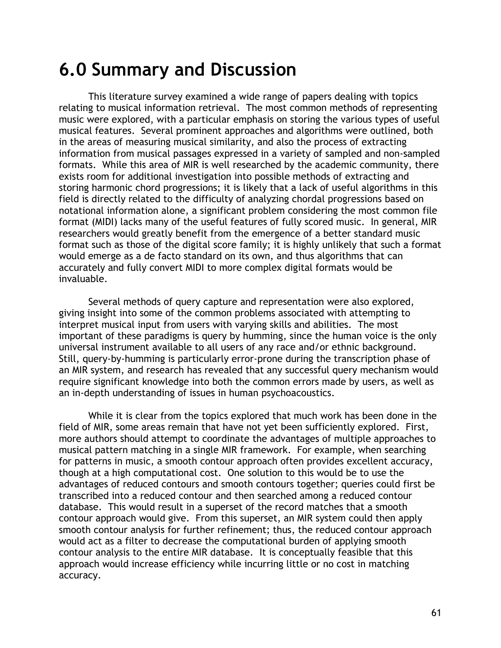# **6.0 Summary and Discussion**

This literature survey examined a wide range of papers dealing with topics relating to musical information retrieval. The most common methods of representing music were explored, with a particular emphasis on storing the various types of useful musical features. Several prominent approaches and algorithms were outlined, both in the areas of measuring musical similarity, and also the process of extracting information from musical passages expressed in a variety of sampled and non-sampled formats. While this area of MIR is well researched by the academic community, there exists room for additional investigation into possible methods of extracting and storing harmonic chord progressions; it is likely that a lack of useful algorithms in this field is directly related to the difficulty of analyzing chordal progressions based on notational information alone, a significant problem considering the most common file format (MIDI) lacks many of the useful features of fully scored music. In general, MIR researchers would greatly benefit from the emergence of a better standard music format such as those of the digital score family; it is highly unlikely that such a format would emerge as a de facto standard on its own, and thus algorithms that can accurately and fully convert MIDI to more complex digital formats would be invaluable.

Several methods of query capture and representation were also explored, giving insight into some of the common problems associated with attempting to interpret musical input from users with varying skills and abilities. The most important of these paradigms is query by humming, since the human voice is the only universal instrument available to all users of any race and/or ethnic background. Still, query-by-humming is particularly error-prone during the transcription phase of an MIR system, and research has revealed that any successful query mechanism would require significant knowledge into both the common errors made by users, as well as an in-depth understanding of issues in human psychoacoustics.

While it is clear from the topics explored that much work has been done in the field of MIR, some areas remain that have not yet been sufficiently explored. First, more authors should attempt to coordinate the advantages of multiple approaches to musical pattern matching in a single MIR framework. For example, when searching for patterns in music, a smooth contour approach often provides excellent accuracy, though at a high computational cost. One solution to this would be to use the advantages of reduced contours and smooth contours together; queries could first be transcribed into a reduced contour and then searched among a reduced contour database. This would result in a superset of the record matches that a smooth contour approach would give. From this superset, an MIR system could then apply smooth contour analysis for further refinement; thus, the reduced contour approach would act as a filter to decrease the computational burden of applying smooth contour analysis to the entire MIR database. It is conceptually feasible that this approach would increase efficiency while incurring little or no cost in matching accuracy.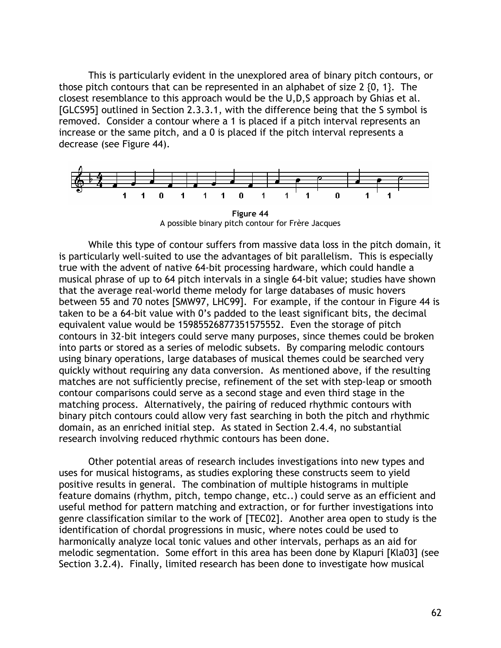This is particularly evident in the unexplored area of binary pitch contours, or those pitch contours that can be represented in an alphabet of size 2 {0, 1}. The closest resemblance to this approach would be the U,D,S approach by Ghias et al. [GLCS95] outlined in Section 2.3.3.1, with the difference being that the S symbol is removed. Consider a contour where a 1 is placed if a pitch interval represents an increase or the same pitch, and a 0 is placed if the pitch interval represents a decrease (see Figure 44).



**Figure 44**  A possible binary pitch contour for Frère Jacques

While this type of contour suffers from massive data loss in the pitch domain, it is particularly well-suited to use the advantages of bit parallelism. This is especially true with the advent of native 64-bit processing hardware, which could handle a musical phrase of up to 64 pitch intervals in a single 64-bit value; studies have shown that the average real-world theme melody for large databases of music hovers between 55 and 70 notes [SMW97, LHC99]. For example, if the contour in Figure 44 is taken to be a 64-bit value with 0's padded to the least significant bits, the decimal equivalent value would be 15985526877351575552. Even the storage of pitch contours in 32-bit integers could serve many purposes, since themes could be broken into parts or stored as a series of melodic subsets. By comparing melodic contours using binary operations, large databases of musical themes could be searched very quickly without requiring any data conversion. As mentioned above, if the resulting matches are not sufficiently precise, refinement of the set with step-leap or smooth contour comparisons could serve as a second stage and even third stage in the matching process. Alternatively, the pairing of reduced rhythmic contours with binary pitch contours could allow very fast searching in both the pitch and rhythmic domain, as an enriched initial step. As stated in Section 2.4.4, no substantial research involving reduced rhythmic contours has been done.

Other potential areas of research includes investigations into new types and uses for musical histograms, as studies exploring these constructs seem to yield positive results in general. The combination of multiple histograms in multiple feature domains (rhythm, pitch, tempo change, etc..) could serve as an efficient and useful method for pattern matching and extraction, or for further investigations into genre classification similar to the work of [TEC02]. Another area open to study is the identification of chordal progressions in music, where notes could be used to harmonically analyze local tonic values and other intervals, perhaps as an aid for melodic segmentation. Some effort in this area has been done by Klapuri [Kla03] (see Section 3.2.4). Finally, limited research has been done to investigate how musical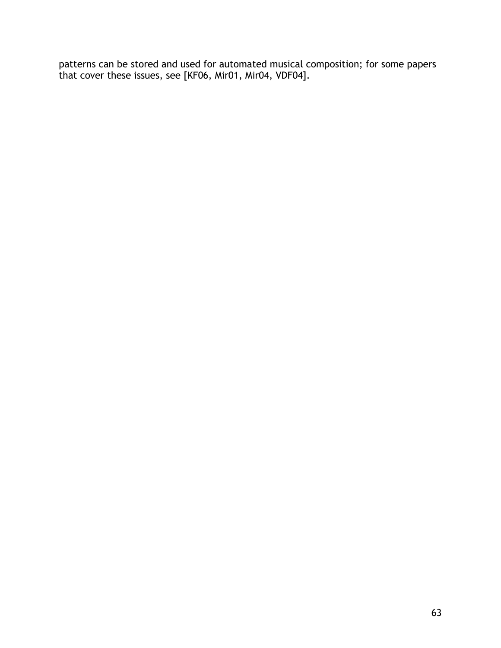patterns can be stored and used for automated musical composition; for some papers that cover these issues, see [KF06, Mir01, Mir04, VDF04].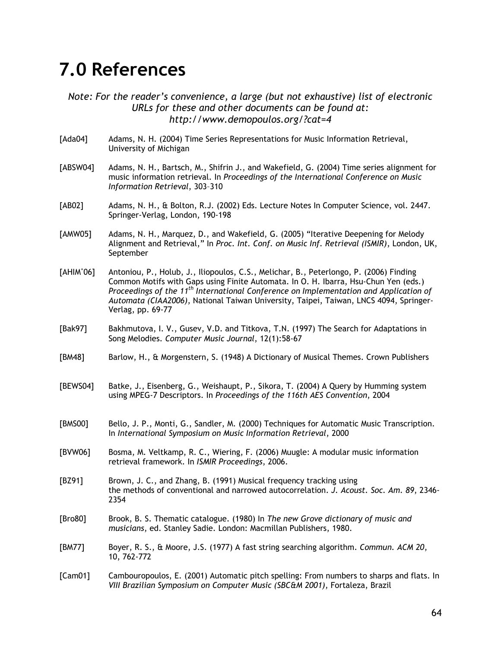# **7.0 References**

*Note: For the reader's convenience, a large (but not exhaustive) list of electronic URLs for these and other documents can be found at: http://www.demopoulos.org/?cat=4* 

- [Ada04] Adams, N. H. (2004) Time Series Representations for Music Information Retrieval, University of Michigan
- [ABSW04] Adams, N. H., Bartsch, M., Shifrin J., and Wakefield, G. (2004) Time series alignment for music information retrieval. In *Proceedings of the International Conference on Music Information Retrieval*, 303–310
- [AB02] Adams, N. H., & Bolton, R.J. (2002) Eds. Lecture Notes In Computer Science, vol. 2447. Springer-Verlag, London, 190-198
- [AMW05] Adams, N. H., Marquez, D., and Wakefield, G. (2005) "Iterative Deepening for Melody Alignment and Retrieval," In *Proc. Int. Conf. on Music Inf. Retrieval (ISMIR)*, London, UK, September
- $[AHIM^+06]$ Antoniou, P., Holub, J., Iliopoulos, C.S., Melichar, B., Peterlongo, P. (2006) Finding Common Motifs with Gaps using Finite Automata. In O. H. Ibarra, Hsu-Chun Yen (eds.) *Proceedings of the 11th International Conference on Implementation and Application of Automata (CIAA2006)*, National Taiwan University, Taipei, Taiwan, LNCS 4094, Springer-Verlag, pp. 69-77
- [Bak97] Bakhmutova, I. V., Gusev, V.D. and Titkova, T.N. (1997) The Search for Adaptations in Song Melodies. *Computer Music Journal*, 12(1):58-67
- [BM48] Barlow, H., & Morgenstern, S. (1948) A Dictionary of Musical Themes. Crown Publishers
- [BEWS04] Batke, J., Eisenberg, G., Weishaupt, P., Sikora, T. (2004) A Query by Humming system using MPEG-7 Descriptors. In *Proceedings of the 116th AES Convention*, 2004
- [BMS00] Bello, J. P., Monti, G., Sandler, M. (2000) Techniques for Automatic Music Transcription. In *International Symposium on Music Information Retrieval*, 2000
- [BVW06] Bosma, M. Veltkamp, R. C., Wiering, F. (2006) Muugle: A modular music information retrieval framework. In *ISMIR Proceedings*, 2006.
- [BZ91] Brown, J. C., and Zhang, B. (1991) Musical frequency tracking using the methods of conventional and narrowed autocorrelation. *J. Acoust. Soc. Am. 89*, 2346- 2354
- [Bro80] Brook, B. S. Thematic catalogue. (1980) In *The new Grove dictionary of music and musicians*, ed. Stanley Sadie. London: Macmillan Publishers, 1980.
- [BM77] Boyer, R. S., & Moore, J.S. (1977) A fast string searching algorithm. *Commun. ACM 20*, 10, 762-772
- [Cam01] Cambouropoulos, E. (2001) Automatic pitch spelling: From numbers to sharps and flats. In *VIII Brazilian Symposium on Computer Music (SBC&M 2001)*, Fortaleza, Brazil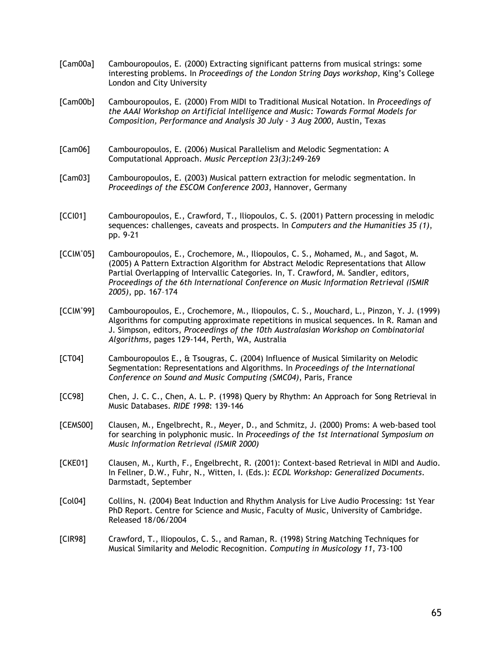- [Cam00a] Cambouropoulos, E. (2000) Extracting significant patterns from musical strings: some interesting problems. In *Proceedings of the London String Days workshop*, King's College London and City University
- [Cam00b] Cambouropoulos, E. (2000) From MIDI to Traditional Musical Notation. In *Proceedings of the AAAI Workshop on Artificial Intelligence and Music: Towards Formal Models for Composition, Performance and Analysis 30 July - 3 Aug 2000*, Austin, Texas
- [Cam06] Cambouropoulos, E. (2006) Musical Parallelism and Melodic Segmentation: A Computational Approach. *Music Perception 23(3)*:249-269
- [Cam03] Cambouropoulos, E. (2003) Musical pattern extraction for melodic segmentation. In *Proceedings of the ESCOM Conference 2003*, Hannover, Germany
- [CCI01] Cambouropoulos, E., Crawford, T., Iliopoulos, C. S. (2001) Pattern processing in melodic sequences: challenges, caveats and prospects. In *Computers and the Humanities 35 (1)*, pp. 9-21
- $[CCIM^+05]$ Cambouropoulos, E., Crochemore, M., Iliopoulos, C. S., Mohamed, M., and Sagot, M. (2005) A Pattern Extraction Algorithm for Abstract Melodic Representations that Allow Partial Overlapping of Intervallic Categories. In, T. Crawford, M. Sandler, editors, *Proceedings of the 6th International Conference on Music Information Retrieval (ISMIR 2005)*, pp. 167–174
- [CCIM+ 99] Cambouropoulos, E., Crochemore, M., Iliopoulos, C. S., Mouchard, L., Pinzon, Y. J. (1999) Algorithms for computing approximate repetitions in musical sequences. In R. Raman and J. Simpson, editors, *Proceedings of the 10th Australasian Workshop on Combinatorial Algorithms*, pages 129-144, Perth, WA, Australia
- [CT04] Cambouropoulos E., & Tsougras, C. (2004) Influence of Musical Similarity on Melodic Segmentation: Representations and Algorithms. In *Proceedings of the International Conference on Sound and Music Computing (SMC04)*, Paris, France
- [CC98] Chen, J. C. C., Chen, A. L. P. (1998) Query by Rhythm: An Approach for Song Retrieval in Music Databases. *RIDE 1998*: 139-146
- [CEMS00] Clausen, M., Engelbrecht, R., Meyer, D., and Schmitz, J. (2000) Proms: A web-based tool for searching in polyphonic music. In *Proceedings of the 1st International Symposium on Music Information Retrieval (ISMIR 2000)*
- [CKE01] Clausen, M., Kurth, F., Engelbrecht, R. (2001): Context-based Retrieval in MIDI and Audio. In Fellner, D.W., Fuhr, N., Witten, I. (Eds.): *ECDL Workshop: Generalized Documents*. Darmstadt, September
- [Col04] Collins, N. (2004) Beat Induction and Rhythm Analysis for Live Audio Processing: 1st Year PhD Report. Centre for Science and Music, Faculty of Music, University of Cambridge. Released 18/06/2004
- [CIR98] Crawford, T., Iliopoulos, C. S., and Raman, R. (1998) String Matching Techniques for Musical Similarity and Melodic Recognition. *Computing in Musicology 11*, 73-100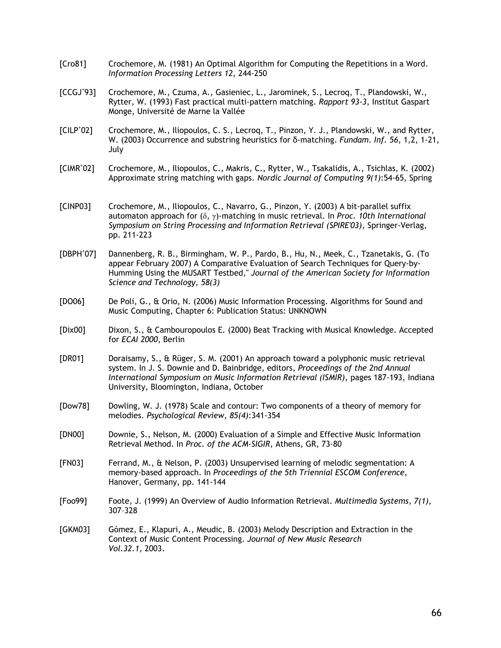- [Cro81] Crochemore, M. (1981) An Optimal Algorithm for Computing the Repetitions in a Word. *Information Processing Letters 12*, 244-250
- $[CCGJ^{\dagger}93]$ Crochemore, M., Czuma, A., Gasieniec, L., Jarominek, S., Lecroq, T., Plandowski, W., Rytter, W. (1993) Fast practical multi-pattern matching. *Rapport 93-3*, Institut Gaspart Monge, Université de Marne la Vallée
- $[CILP^*02]$ Crochemore, M., Iliopoulos, C. S., Lecroq, T., Pinzon, Y. J., Plandowski, W., and Rytter, W. (2003) Occurrence and substring heuristics for δ-matching. *Fundam. Inf. 56*, 1,2, 1-21, July
- [CIMR<sup>+</sup> 02] Crochemore, M., Iliopoulos, C., Makris, C., Rytter, W., Tsakalidis, A., Tsichlas, K. (2002) Approximate string matching with gaps. *Nordic Journal of Computing 9(1)*:54-65, Spring
- [CINP03] Crochemore, M., Iliopoulos, C., Navarro, G., Pinzon, Y. (2003) A bit-parallel suffix automaton approach for (δ, γ)-matching in music retrieval. In *Proc. 10th International Symposium on String Processing and Information Retrieval (SPIRE'03)*, Springer-Verlag, pp. 211-223
- $[DBPH^*O7]$ Dannenberg, R. B., Birmingham, W. P., Pardo, B., Hu, N., Meek, C., Tzanetakis, G. (To appear February 2007) A Comparative Evaluation of Search Techniques for Query-by-Humming Using the MUSART Testbed,'' *Journal of the American Society for Information Science and Technology, 58(3)*
- [DO06] De Poli, G., & Orio, N. (2006) Music Information Processing. Algorithms for Sound and Music Computing, Chapter 6: Publication Status: UNKNOWN
- [Dix00] Dixon, S., & Cambouropoulos E. (2000) Beat Tracking with Musical Knowledge. Accepted for *ECAI 2000*, Berlin
- [DR01] Doraisamy, S., & Rüger, S. M. (2001) An approach toward a polyphonic music retrieval system. In J. S. Downie and D. Bainbridge, editors, *Proceedings of the 2nd Annual International Symposium on Music Information Retrieval (ISMIR)*, pages 187-193, Indiana University, Bloomington, Indiana, October
- [Dow78] Dowling, W. J. (1978) Scale and contour: Two components of a theory of memory for melodies. *Psychological Review, 85(4)*:341-354
- [DN00] Downie, S., Nelson, M. (2000) Evaluation of a Simple and Effective Music Information Retrieval Method. In *Proc. of the ACM-SIGIR*, Athens, GR, 73-80
- [FN03] Ferrand, M., & Nelson, P. (2003) Unsupervised learning of melodic segmentation: A memory-based approach. In *Proceedings of the 5th Triennial ESCOM Conference*, Hanover, Germany, pp. 141-144
- [Foo99] Foote, J. (1999) An Overview of Audio Information Retrieval. *Multimedia Systems, 7(1)*, 307–328
- [GKM03] Gómez, E., Klapuri, A., Meudic, B. (2003) Melody Description and Extraction in the Context of Music Content Processing. *Journal of New Music Research Vol.32.1*, 2003.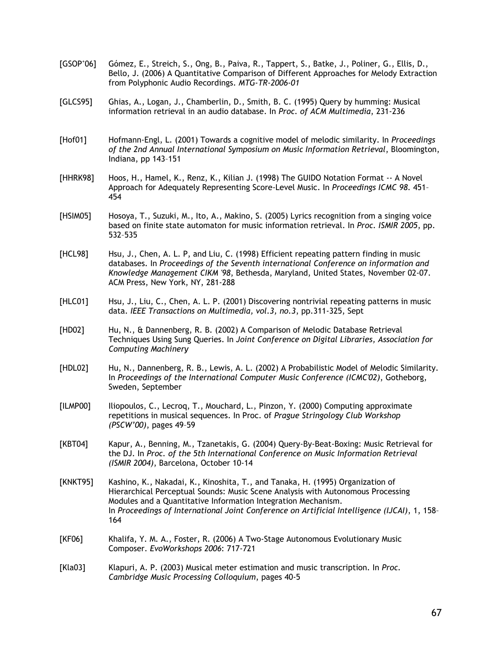- $[GSOP^{\dagger}06]$ Gómez, E., Streich, S., Ong, B., Paiva, R., Tappert, S., Batke, J., Poliner, G., Ellis, D., Bello, J. (2006) A Quantitative Comparison of Different Approaches for Melody Extraction from Polyphonic Audio Recordings. *MTG-TR-2006-01*
- [GLCS95] Ghias, A., Logan, J., Chamberlin, D., Smith, B. C. (1995) Query by humming: Musical information retrieval in an audio database. In *Proc. of ACM Multimedia*, 231-236
- [Hof01] Hofmann-Engl, L. (2001) Towards a cognitive model of melodic similarity. In *Proceedings of the 2nd Annual International Symposium on Music Information Retrieval*, Bloomington, Indiana, pp 143–151
- [HHRK98] Hoos, H., Hamel, K., Renz, K., Kilian J. (1998) The GUIDO Notation Format -- A Novel Approach for Adequately Representing Score-Level Music. In *Proceedings ICMC 98*. 451– 454
- [HSIM05] Hosoya, T., Suzuki, M., Ito, A., Makino, S. (2005) Lyrics recognition from a singing voice based on finite state automaton for music information retrieval. In *Proc. ISMIR 2005*, pp. 532–535
- [HCL98] Hsu, J., Chen, A. L. P, and Liu, C. (1998) Efficient repeating pattern finding in music databases. In *Proceedings of the Seventh international Conference on information and Knowledge Management CIKM '98*, Bethesda, Maryland, United States, November 02-07. ACM Press, New York, NY, 281-288
- [HLC01] Hsu, J., Liu, C., Chen, A. L. P. (2001) Discovering nontrivial repeating patterns in music data. *IEEE Transactions on Multimedia, vol.3, no.3*, pp.311-325, Sept
- [HD02] Hu, N., & Dannenberg, R. B. (2002) A Comparison of Melodic Database Retrieval Techniques Using Sung Queries. In *Joint Conference on Digital Libraries, Association for Computing Machinery*
- [HDL02] Hu, N., Dannenberg, R. B., Lewis, A. L. (2002) A Probabilistic Model of Melodic Similarity. In *Proceedings of the International Computer Music Conference (ICMC'02)*, Gotheborg, Sweden, September
- [ILMP00] Iliopoulos, C., Lecroq, T., Mouchard, L., Pinzon, Y. (2000) Computing approximate repetitions in musical sequences. In Proc. of *Prague Stringology Club Workshop (PSCW'00)*, pages 49–59
- [KBT04] Kapur, A., Benning, M., Tzanetakis, G. (2004) Query-By-Beat-Boxing: Music Retrieval for the DJ. In *Proc. of the 5th International Conference on Music Information Retrieval (ISMIR 2004)*, Barcelona, October 10-14
- [KNKT95] Kashino, K., Nakadai, K., Kinoshita, T., and Tanaka, H. (1995) Organization of Hierarchical Perceptual Sounds: Music Scene Analysis with Autonomous Processing Modules and a Quantitative Information Integration Mechanism. In *Proceedings of International Joint Conference on Artificial Intelligence (IJCAI)*, 1, 158– 164
- [KF06] Khalifa, Y. M. A., Foster, R. (2006) A Two-Stage Autonomous Evolutionary Music Composer. *EvoWorkshops 2006*: 717-721
- [Kla03] Klapuri, A. P. (2003) Musical meter estimation and music transcription. In *Proc. Cambridge Music Processing Colloquium*, pages 40-5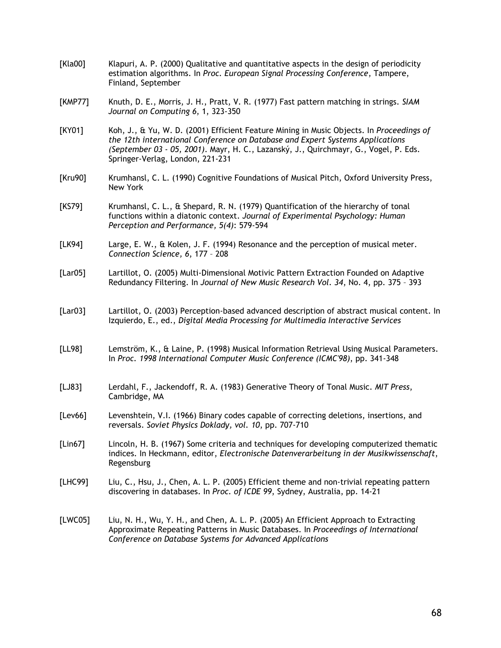- [Kla00] [KMP77] [KY01] [Kru90] [KS79] [LK94] [Lar05] [Lar03] [LL98] [LJ83] [Lev66] Klapuri, A. P. (2000) Qualitative and quantitative aspects in the design of periodicity estimation algorithms. In *Proc. European Signal Processing Conference*, Tampere, Finland, September Knuth, D. E., Morris, J. H., Pratt, V. R. (1977) Fast pattern matching in strings. *SIAM Journal on Computing 6*, 1, 323-350 Koh, J., & Yu, W. D. (2001) Efficient Feature Mining in Music Objects. In *Proceedings of the 12th international Conference on Database and Expert Systems Applications (September 03 - 05, 2001)*. Mayr, H. C., Lazanský, J., Quirchmayr, G., Vogel, P. Eds. Springer-Verlag, London, 221-231 Krumhansl, C. L. (1990) Cognitive Foundations of Musical Pitch, Oxford University Press, New York Krumhansl, C. L., & Shepard, R. N. (1979) Quantification of the hierarchy of tonal functions within a diatonic context. *Journal of Experimental Psychology: Human Perception and Performance, 5(4)*: 579-594 Large, E. W., & Kolen, J. F. (1994) Resonance and the perception of musical meter. *Connection Science, 6*, 177 – 208 Lartillot, O. (2005) Multi-Dimensional Motivic Pattern Extraction Founded on Adaptive Redundancy Filtering. In *Journal of New Music Research Vol. 34*, No. 4, pp. 375 – 393 Lartillot, O. (2003) Perception-based advanced description of abstract musical content. In Izquierdo, E., ed., *Digital Media Processing for Multimedia Interactive Services* Lemström, K., & Laine, P. (1998) Musical Information Retrieval Using Musical Parameters. In *Proc. 1998 International Computer Music Conference (ICMC'98)*, pp. 341-348 Lerdahl, F., Jackendoff, R. A. (1983) Generative Theory of Tonal Music. *MIT Press*, Cambridge, MA Levenshtein, V.I. (1966) Binary codes capable of correcting deletions, insertions, and reversals. *Soviet Physics Doklady, vol. 10*, pp. 707-710
- [Lin67] Lincoln, H. B. (1967) Some criteria and techniques for developing computerized thematic indices. In Heckmann, editor, *Electronische Datenverarbeitung in der Musikwissenschaft*, Regensburg
- [LHC99] Liu, C., Hsu, J., Chen, A. L. P. (2005) Efficient theme and non-trivial repeating pattern discovering in databases. In *Proc. of ICDE 99*, Sydney, Australia, pp. 14-21
- [LWC05] Liu, N. H., Wu, Y. H., and Chen, A. L. P. (2005) An Efficient Approach to Extracting Approximate Repeating Patterns in Music Databases. In *Proceedings of International Conference on Database Systems for Advanced Applications*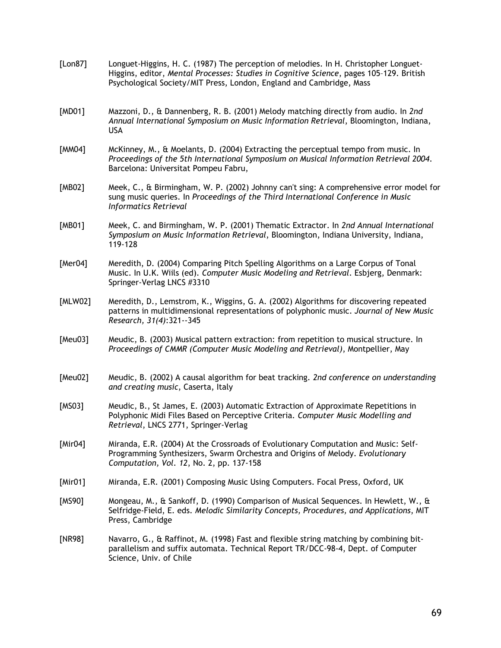| [Lon87]     | Longuet-Higgins, H. C. (1987) The perception of melodies. In H. Christopher Longuet-<br>Higgins, editor, Mental Processes: Studies in Cognitive Science, pages 105-129. British<br>Psychological Society/MIT Press, London, England and Cambridge, Mass |
|-------------|---------------------------------------------------------------------------------------------------------------------------------------------------------------------------------------------------------------------------------------------------------|
| [MD01]      | Mazzoni, D., & Dannenberg, R. B. (2001) Melody matching directly from audio. In 2nd<br>Annual International Symposium on Music Information Retrieval, Bloomington, Indiana,<br><b>USA</b>                                                               |
| [MM04]      | McKinney, M., & Moelants, D. (2004) Extracting the perceptual tempo from music. In<br>Proceedings of the 5th International Symposium on Musical Information Retrieval 2004.<br>Barcelona: Universitat Pompeu Fabru,                                     |
| [MB02]      | Meek, C., & Birmingham, W. P. (2002) Johnny can't sing: A comprehensive error model for<br>sung music queries. In Proceedings of the Third International Conference in Music<br>Informatics Retrieval                                                   |
| [MB01]      | Meek, C. and Birmingham, W. P. (2001) Thematic Extractor. In 2nd Annual International<br>Symposium on Music Information Retrieval, Bloomington, Indiana University, Indiana,<br>119-128                                                                 |
| [ $Mer04$ ] | Meredith, D. (2004) Comparing Pitch Spelling Algorithms on a Large Corpus of Tonal<br>Music. In U.K. Wiils (ed). Computer Music Modeling and Retrieval. Esbjerg, Denmark:<br>Springer-Verlag LNCS #3310                                                 |
| [MLW02]     | Meredith, D., Lemstrom, K., Wiggins, G. A. (2002) Algorithms for discovering repeated<br>patterns in multidimensional representations of polyphonic music. Journal of New Music<br>Research, 31(4):321--345                                             |
| [Meu03]     | Meudic, B. (2003) Musical pattern extraction: from repetition to musical structure. In<br>Proceedings of CMMR (Computer Music Modeling and Retrieval), Montpellier, May                                                                                 |
| [Meu02]     | Meudic, B. (2002) A causal algorithm for beat tracking. 2nd conference on understanding<br>and creating music, Caserta, Italy                                                                                                                           |
| [MS03]      | Meudic, B., St James, E. (2003) Automatic Extraction of Approximate Repetitions in<br>Polyphonic Midi Files Based on Perceptive Criteria. Computer Music Modelling and<br>Retrieval, LNCS 2771, Springer-Verlag                                         |
| [ $Mir04$ ] | Miranda, E.R. (2004) At the Crossroads of Evolutionary Computation and Music: Self-<br>Programming Synthesizers, Swarm Orchestra and Origins of Melody. Evolutionary<br>Computation, Vol. 12, No. 2, pp. 137-158                                        |
| [Mir01]     | Miranda, E.R. (2001) Composing Music Using Computers. Focal Press, Oxford, UK                                                                                                                                                                           |
| [MS90]      | Mongeau, M., & Sankoff, D. (1990) Comparison of Musical Sequences. In Hewlett, W., &<br>Selfridge-Field, E. eds. Melodic Similarity Concepts, Procedures, and Applications, MIT<br>Press, Cambridge                                                     |
| [NR98]      | Navarro, G., & Raffinot, M. (1998) Fast and flexible string matching by combining bit-<br>parallelism and suffix automata. Technical Report TR/DCC-98-4, Dept. of Computer<br>Science, Univ. of Chile                                                   |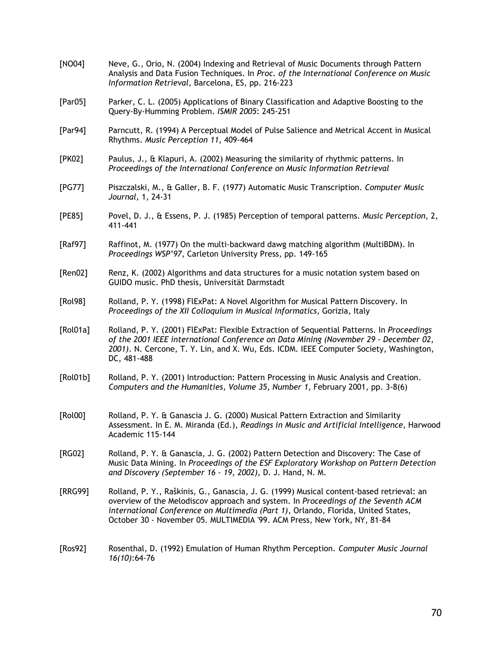[NO04] [Par05] [Par94] [PK02] [PG77] [PE85] [Raf97] [Ren02] [Rol98] [Rol01a] [Rol01b] [Rol00] [RG02] [RRG99] [Ros92] Neve, G., Orio, N. (2004) Indexing and Retrieval of Music Documents through Pattern Analysis and Data Fusion Techniques. In *Proc. of the International Conference on Music Information Retrieval*, Barcelona, ES, pp. 216-223 Parker, C. L. (2005) Applications of Binary Classification and Adaptive Boosting to the Query-By-Humming Problem. *ISMIR 2005*: 245-251 Parncutt, R. (1994) A Perceptual Model of Pulse Salience and Metrical Accent in Musical Rhythms. *Music Perception 11*, 409-464 Paulus, J., & Klapuri, A. (2002) Measuring the similarity of rhythmic patterns. In *Proceedings of the International Conference on Music Information Retrieval* Piszczalski, M., & Galler, B. F. (1977) Automatic Music Transcription. *Computer Music Journal,* 1, 24-31 Povel, D. J., & Essens, P. J. (1985) Perception of temporal patterns. *Music Perception*, 2, 411-441 Raffinot, M. (1977) On the multi-backward dawg matching algorithm (MultiBDM). In *Proceedings WSP'97*, Carleton University Press, pp. 149-165 Renz, K. (2002) Algorithms and data structures for a music notation system based on GUIDO music. PhD thesis, Universität Darmstadt Rolland, P. Y. (1998) FlExPat: A Novel Algorithm for Musical Pattern Discovery. In *Proceedings of the XII Colloquium in Musical Informatics*, Gorizia, Italy Rolland, P. Y. (2001) FlExPat: Flexible Extraction of Sequential Patterns. In *Proceedings of the 2001 IEEE international Conference on Data Mining (November 29 - December 02, 2001)*. N. Cercone, T. Y. Lin, and X. Wu, Eds. ICDM. IEEE Computer Society, Washington, DC, 481-488 Rolland, P. Y. (2001) Introduction: Pattern Processing in Music Analysis and Creation. *Computers and the Humanities, Volume 35, Number 1*, February 2001, pp. 3-8(6) Rolland, P. Y. & Ganascia J. G. (2000) Musical Pattern Extraction and Similarity Assessment. In E. M. Miranda (Ed.), *Readings in Music and Artificial Intelligence*, Harwood Academic 115-144 Rolland, P. Y. & Ganascia, J. G. (2002) Pattern Detection and Discovery: The Case of Music Data Mining. In *Proceedings of the ESF Exploratory Workshop on Pattern Detection and Discovery (September 16 - 19, 2002),* D. J. Hand, N. M. Rolland, P. Y., Raškinis, G., Ganascia, J. G. (1999) Musical content-based retrieval: an overview of the Melodiscov approach and system. In *Proceedings of the Seventh ACM international Conference on Multimedia (Part 1)*, Orlando, Florida, United States, October 30 - November 05. MULTIMEDIA '99. ACM Press, New York, NY, 81-84 Rosenthal, D. (1992) Emulation of Human Rhythm Perception. *Computer Music Journal 16(10)*:64-76